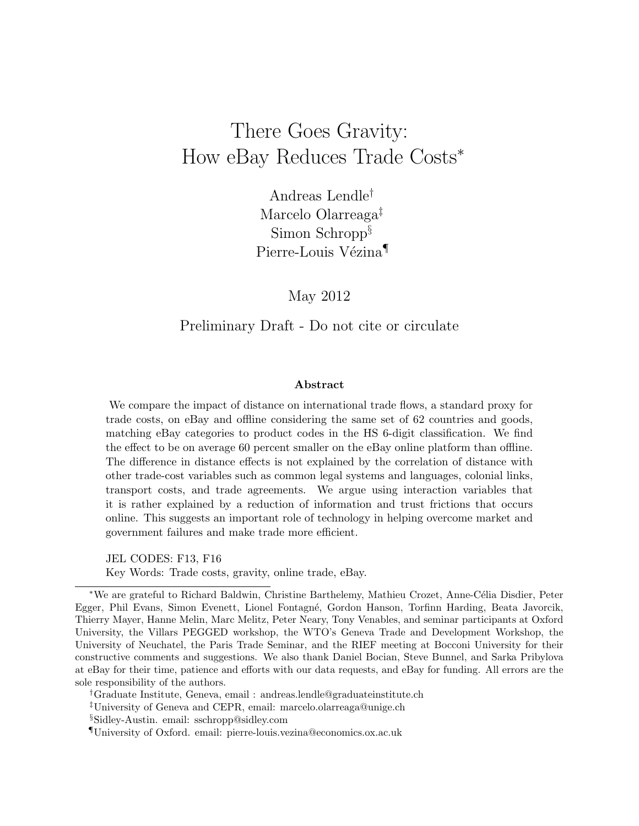# There Goes Gravity: How eBay Reduces Trade Costs<sup>∗</sup>

Andreas Lendle† Marcelo Olarreaga‡ Simon Schropp $\S$ Pierre-Louis Vézina<sup>¶</sup>

May 2012

#### Preliminary Draft - Do not cite or circulate

#### Abstract

We compare the impact of distance on international trade flows, a standard proxy for trade costs, on eBay and offline considering the same set of 62 countries and goods, matching eBay categories to product codes in the HS 6-digit classification. We find the effect to be on average 60 percent smaller on the eBay online platform than offline. The difference in distance effects is not explained by the correlation of distance with other trade-cost variables such as common legal systems and languages, colonial links, transport costs, and trade agreements. We argue using interaction variables that it is rather explained by a reduction of information and trust frictions that occurs online. This suggests an important role of technology in helping overcome market and government failures and make trade more efficient.

JEL CODES: F13, F16 Key Words: Trade costs, gravity, online trade, eBay.

\*We are grateful to Richard Baldwin, Christine Barthelemy, Mathieu Crozet, Anne-Célia Disdier, Peter Egger, Phil Evans, Simon Evenett, Lionel Fontagn´e, Gordon Hanson, Torfinn Harding, Beata Javorcik, Thierry Mayer, Hanne Melin, Marc Melitz, Peter Neary, Tony Venables, and seminar participants at Oxford University, the Villars PEGGED workshop, the WTO's Geneva Trade and Development Workshop, the University of Neuchatel, the Paris Trade Seminar, and the RIEF meeting at Bocconi University for their constructive comments and suggestions. We also thank Daniel Bocian, Steve Bunnel, and Sarka Pribylova at eBay for their time, patience and efforts with our data requests, and eBay for funding. All errors are the sole responsibility of the authors.

†Graduate Institute, Geneva, email : andreas.lendle@graduateinstitute.ch

‡University of Geneva and CEPR, email: marcelo.olarreaga@unige.ch

§Sidley-Austin. email: sschropp@sidley.com

¶University of Oxford. email: pierre-louis.vezina@economics.ox.ac.uk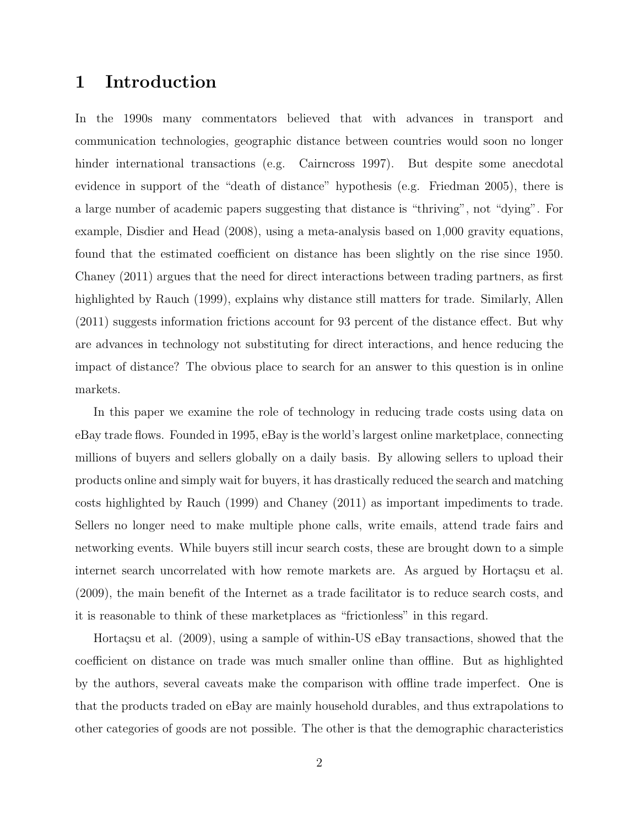# 1 Introduction

In the 1990s many commentators believed that with advances in transport and communication technologies, geographic distance between countries would soon no longer hinder international transactions (e.g. Cairncross 1997). But despite some anecdotal evidence in support of the "death of distance" hypothesis (e.g. Friedman 2005), there is a large number of academic papers suggesting that distance is "thriving", not "dying". For example, Disdier and Head (2008), using a meta-analysis based on 1,000 gravity equations, found that the estimated coefficient on distance has been slightly on the rise since 1950. Chaney (2011) argues that the need for direct interactions between trading partners, as first highlighted by Rauch (1999), explains why distance still matters for trade. Similarly, Allen (2011) suggests information frictions account for 93 percent of the distance effect. But why are advances in technology not substituting for direct interactions, and hence reducing the impact of distance? The obvious place to search for an answer to this question is in online markets.

In this paper we examine the role of technology in reducing trade costs using data on eBay trade flows. Founded in 1995, eBay is the world's largest online marketplace, connecting millions of buyers and sellers globally on a daily basis. By allowing sellers to upload their products online and simply wait for buyers, it has drastically reduced the search and matching costs highlighted by Rauch (1999) and Chaney (2011) as important impediments to trade. Sellers no longer need to make multiple phone calls, write emails, attend trade fairs and networking events. While buyers still incur search costs, these are brought down to a simple internet search uncorrelated with how remote markets are. As argued by Hortaçsu et al. (2009), the main benefit of the Internet as a trade facilitator is to reduce search costs, and it is reasonable to think of these marketplaces as "frictionless" in this regard.

Hortaçsu et al. (2009), using a sample of within-US eBay transactions, showed that the coefficient on distance on trade was much smaller online than offline. But as highlighted by the authors, several caveats make the comparison with offline trade imperfect. One is that the products traded on eBay are mainly household durables, and thus extrapolations to other categories of goods are not possible. The other is that the demographic characteristics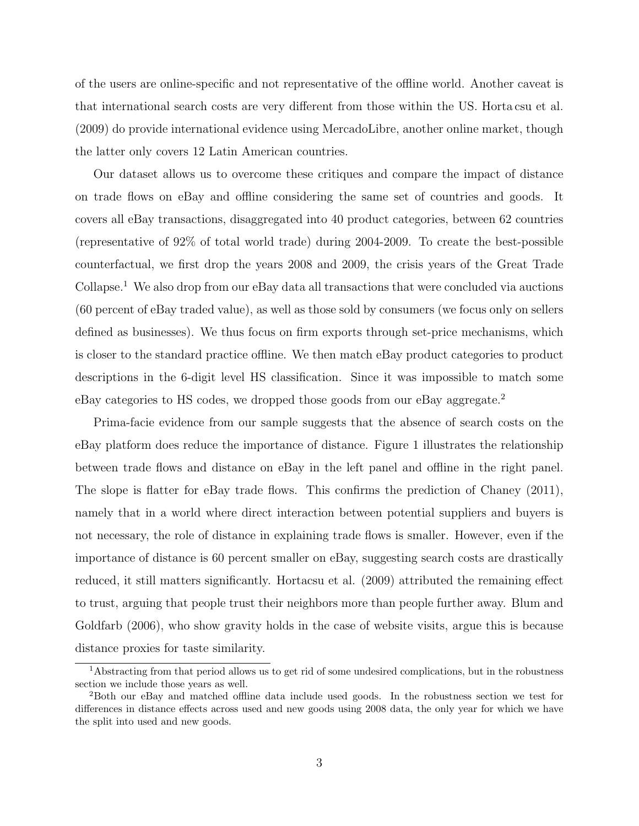of the users are online-specific and not representative of the offline world. Another caveat is that international search costs are very different from those within the US. Horta csu et al. (2009) do provide international evidence using MercadoLibre, another online market, though the latter only covers 12 Latin American countries.

Our dataset allows us to overcome these critiques and compare the impact of distance on trade flows on eBay and offline considering the same set of countries and goods. It covers all eBay transactions, disaggregated into 40 product categories, between 62 countries (representative of 92% of total world trade) during 2004-2009. To create the best-possible counterfactual, we first drop the years 2008 and 2009, the crisis years of the Great Trade Collapse.<sup>1</sup> We also drop from our eBay data all transactions that were concluded via auctions (60 percent of eBay traded value), as well as those sold by consumers (we focus only on sellers defined as businesses). We thus focus on firm exports through set-price mechanisms, which is closer to the standard practice offline. We then match eBay product categories to product descriptions in the 6-digit level HS classification. Since it was impossible to match some eBay categories to HS codes, we dropped those goods from our eBay aggregate.<sup>2</sup>

Prima-facie evidence from our sample suggests that the absence of search costs on the eBay platform does reduce the importance of distance. Figure 1 illustrates the relationship between trade flows and distance on eBay in the left panel and offline in the right panel. The slope is flatter for eBay trade flows. This confirms the prediction of Chaney (2011), namely that in a world where direct interaction between potential suppliers and buyers is not necessary, the role of distance in explaining trade flows is smaller. However, even if the importance of distance is 60 percent smaller on eBay, suggesting search costs are drastically reduced, it still matters significantly. Hortacsu et al. (2009) attributed the remaining effect to trust, arguing that people trust their neighbors more than people further away. Blum and Goldfarb (2006), who show gravity holds in the case of website visits, argue this is because distance proxies for taste similarity.

<sup>1</sup>Abstracting from that period allows us to get rid of some undesired complications, but in the robustness section we include those years as well.

<sup>2</sup>Both our eBay and matched offline data include used goods. In the robustness section we test for differences in distance effects across used and new goods using 2008 data, the only year for which we have the split into used and new goods.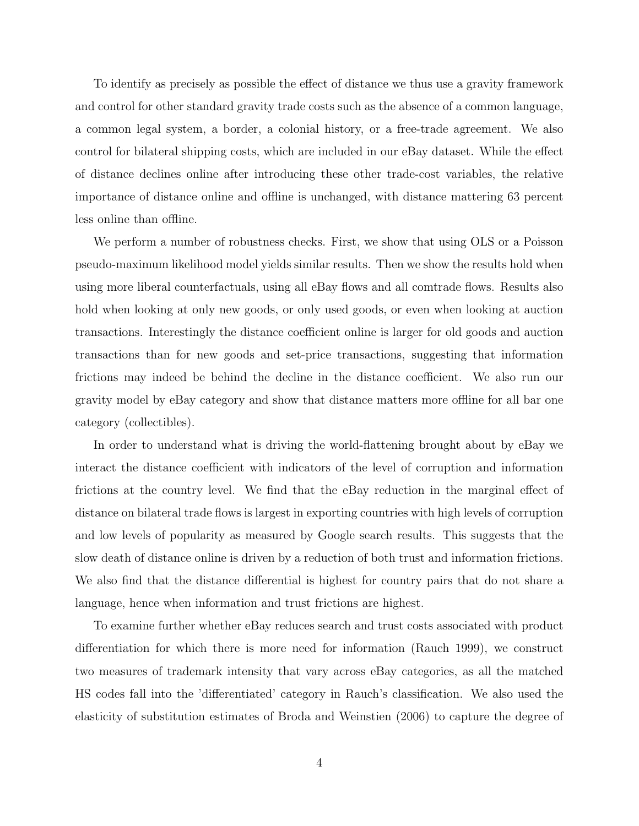To identify as precisely as possible the effect of distance we thus use a gravity framework and control for other standard gravity trade costs such as the absence of a common language, a common legal system, a border, a colonial history, or a free-trade agreement. We also control for bilateral shipping costs, which are included in our eBay dataset. While the effect of distance declines online after introducing these other trade-cost variables, the relative importance of distance online and offline is unchanged, with distance mattering 63 percent less online than offline.

We perform a number of robustness checks. First, we show that using OLS or a Poisson pseudo-maximum likelihood model yields similar results. Then we show the results hold when using more liberal counterfactuals, using all eBay flows and all comtrade flows. Results also hold when looking at only new goods, or only used goods, or even when looking at auction transactions. Interestingly the distance coefficient online is larger for old goods and auction transactions than for new goods and set-price transactions, suggesting that information frictions may indeed be behind the decline in the distance coefficient. We also run our gravity model by eBay category and show that distance matters more offline for all bar one category (collectibles).

In order to understand what is driving the world-flattening brought about by eBay we interact the distance coefficient with indicators of the level of corruption and information frictions at the country level. We find that the eBay reduction in the marginal effect of distance on bilateral trade flows is largest in exporting countries with high levels of corruption and low levels of popularity as measured by Google search results. This suggests that the slow death of distance online is driven by a reduction of both trust and information frictions. We also find that the distance differential is highest for country pairs that do not share a language, hence when information and trust frictions are highest.

To examine further whether eBay reduces search and trust costs associated with product differentiation for which there is more need for information (Rauch 1999), we construct two measures of trademark intensity that vary across eBay categories, as all the matched HS codes fall into the 'differentiated' category in Rauch's classification. We also used the elasticity of substitution estimates of Broda and Weinstien (2006) to capture the degree of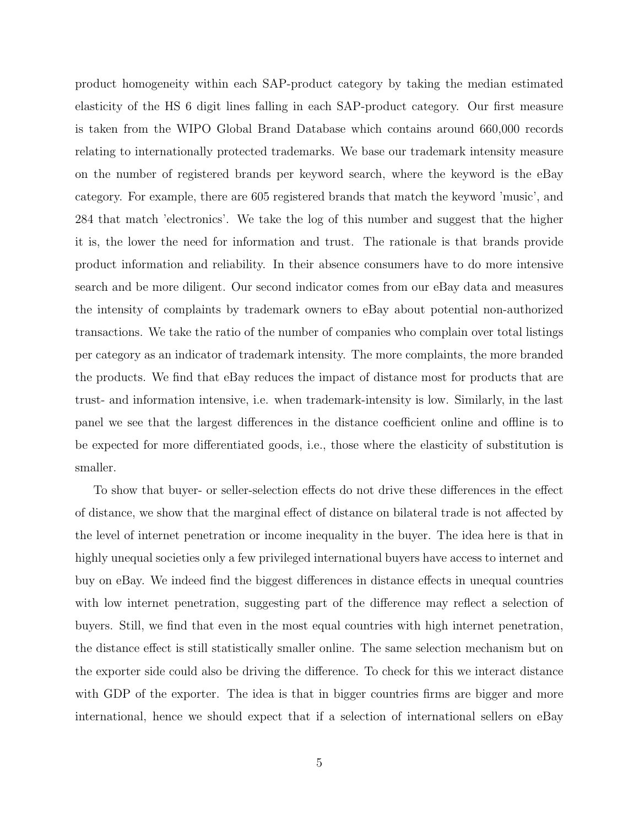product homogeneity within each SAP-product category by taking the median estimated elasticity of the HS 6 digit lines falling in each SAP-product category. Our first measure is taken from the WIPO Global Brand Database which contains around 660,000 records relating to internationally protected trademarks. We base our trademark intensity measure on the number of registered brands per keyword search, where the keyword is the eBay category. For example, there are 605 registered brands that match the keyword 'music', and 284 that match 'electronics'. We take the log of this number and suggest that the higher it is, the lower the need for information and trust. The rationale is that brands provide product information and reliability. In their absence consumers have to do more intensive search and be more diligent. Our second indicator comes from our eBay data and measures the intensity of complaints by trademark owners to eBay about potential non-authorized transactions. We take the ratio of the number of companies who complain over total listings per category as an indicator of trademark intensity. The more complaints, the more branded the products. We find that eBay reduces the impact of distance most for products that are trust- and information intensive, i.e. when trademark-intensity is low. Similarly, in the last panel we see that the largest differences in the distance coefficient online and offline is to be expected for more differentiated goods, i.e., those where the elasticity of substitution is smaller.

To show that buyer- or seller-selection effects do not drive these differences in the effect of distance, we show that the marginal effect of distance on bilateral trade is not affected by the level of internet penetration or income inequality in the buyer. The idea here is that in highly unequal societies only a few privileged international buyers have access to internet and buy on eBay. We indeed find the biggest differences in distance effects in unequal countries with low internet penetration, suggesting part of the difference may reflect a selection of buyers. Still, we find that even in the most equal countries with high internet penetration, the distance effect is still statistically smaller online. The same selection mechanism but on the exporter side could also be driving the difference. To check for this we interact distance with GDP of the exporter. The idea is that in bigger countries firms are bigger and more international, hence we should expect that if a selection of international sellers on eBay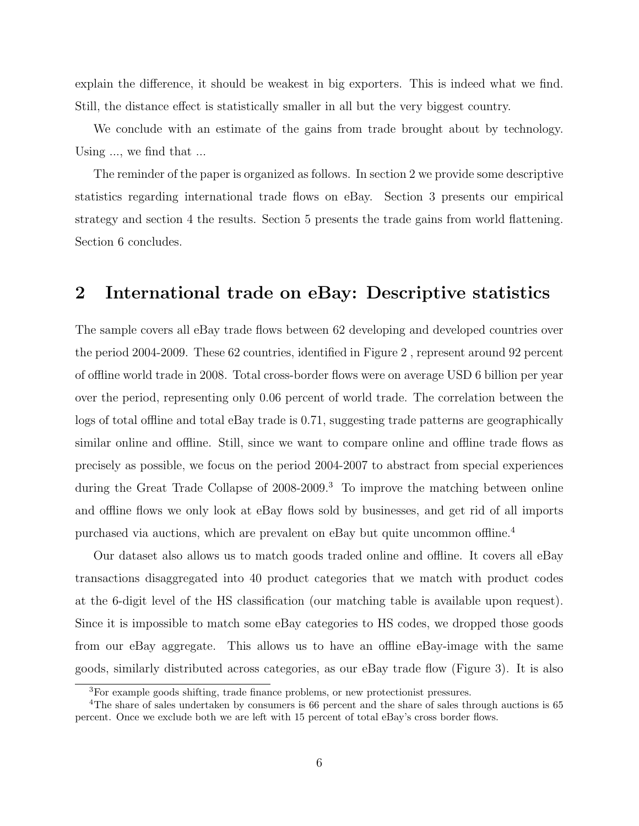explain the difference, it should be weakest in big exporters. This is indeed what we find. Still, the distance effect is statistically smaller in all but the very biggest country.

We conclude with an estimate of the gains from trade brought about by technology. Using ..., we find that ...

The reminder of the paper is organized as follows. In section 2 we provide some descriptive statistics regarding international trade flows on eBay. Section 3 presents our empirical strategy and section 4 the results. Section 5 presents the trade gains from world flattening. Section 6 concludes.

# 2 International trade on eBay: Descriptive statistics

The sample covers all eBay trade flows between 62 developing and developed countries over the period 2004-2009. These 62 countries, identified in Figure 2 , represent around 92 percent of offline world trade in 2008. Total cross-border flows were on average USD 6 billion per year over the period, representing only 0.06 percent of world trade. The correlation between the logs of total offline and total eBay trade is 0.71, suggesting trade patterns are geographically similar online and offline. Still, since we want to compare online and offline trade flows as precisely as possible, we focus on the period 2004-2007 to abstract from special experiences during the Great Trade Collapse of 2008-2009.<sup>3</sup> To improve the matching between online and offline flows we only look at eBay flows sold by businesses, and get rid of all imports purchased via auctions, which are prevalent on eBay but quite uncommon offline.<sup>4</sup>

Our dataset also allows us to match goods traded online and offline. It covers all eBay transactions disaggregated into 40 product categories that we match with product codes at the 6-digit level of the HS classification (our matching table is available upon request). Since it is impossible to match some eBay categories to HS codes, we dropped those goods from our eBay aggregate. This allows us to have an offline eBay-image with the same goods, similarly distributed across categories, as our eBay trade flow (Figure 3). It is also

<sup>3</sup>For example goods shifting, trade finance problems, or new protectionist pressures.

<sup>&</sup>lt;sup>4</sup>The share of sales undertaken by consumers is 66 percent and the share of sales through auctions is 65 percent. Once we exclude both we are left with 15 percent of total eBay's cross border flows.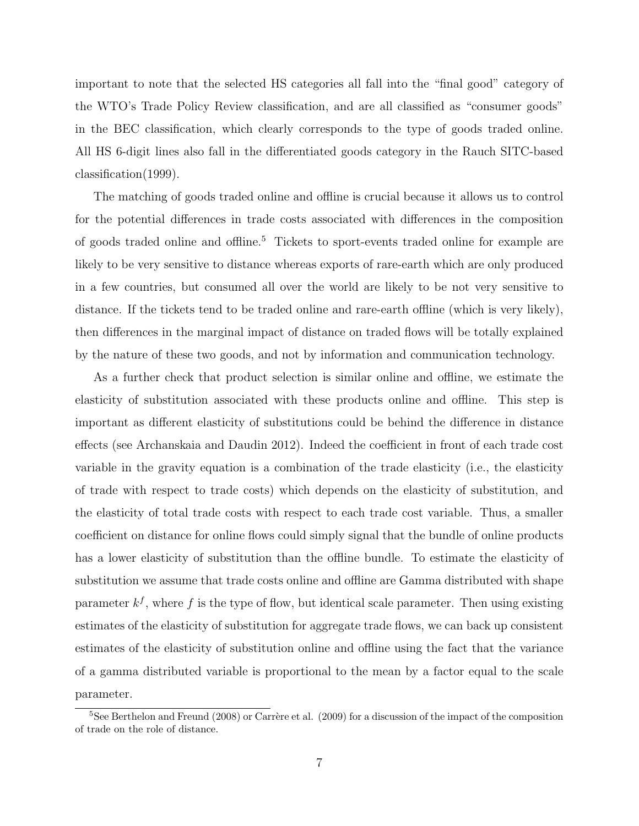important to note that the selected HS categories all fall into the "final good" category of the WTO's Trade Policy Review classification, and are all classified as "consumer goods" in the BEC classification, which clearly corresponds to the type of goods traded online. All HS 6-digit lines also fall in the differentiated goods category in the Rauch SITC-based classification(1999).

The matching of goods traded online and offline is crucial because it allows us to control for the potential differences in trade costs associated with differences in the composition of goods traded online and offline.<sup>5</sup> Tickets to sport-events traded online for example are likely to be very sensitive to distance whereas exports of rare-earth which are only produced in a few countries, but consumed all over the world are likely to be not very sensitive to distance. If the tickets tend to be traded online and rare-earth offline (which is very likely), then differences in the marginal impact of distance on traded flows will be totally explained by the nature of these two goods, and not by information and communication technology.

As a further check that product selection is similar online and offline, we estimate the elasticity of substitution associated with these products online and offline. This step is important as different elasticity of substitutions could be behind the difference in distance effects (see Archanskaia and Daudin 2012). Indeed the coefficient in front of each trade cost variable in the gravity equation is a combination of the trade elasticity (i.e., the elasticity of trade with respect to trade costs) which depends on the elasticity of substitution, and the elasticity of total trade costs with respect to each trade cost variable. Thus, a smaller coefficient on distance for online flows could simply signal that the bundle of online products has a lower elasticity of substitution than the offline bundle. To estimate the elasticity of substitution we assume that trade costs online and offline are Gamma distributed with shape parameter  $k^f$ , where f is the type of flow, but identical scale parameter. Then using existing estimates of the elasticity of substitution for aggregate trade flows, we can back up consistent estimates of the elasticity of substitution online and offline using the fact that the variance of a gamma distributed variable is proportional to the mean by a factor equal to the scale parameter.

 $5$ See Berthelon and Freund (2008) or Carrère et al. (2009) for a discussion of the impact of the composition of trade on the role of distance.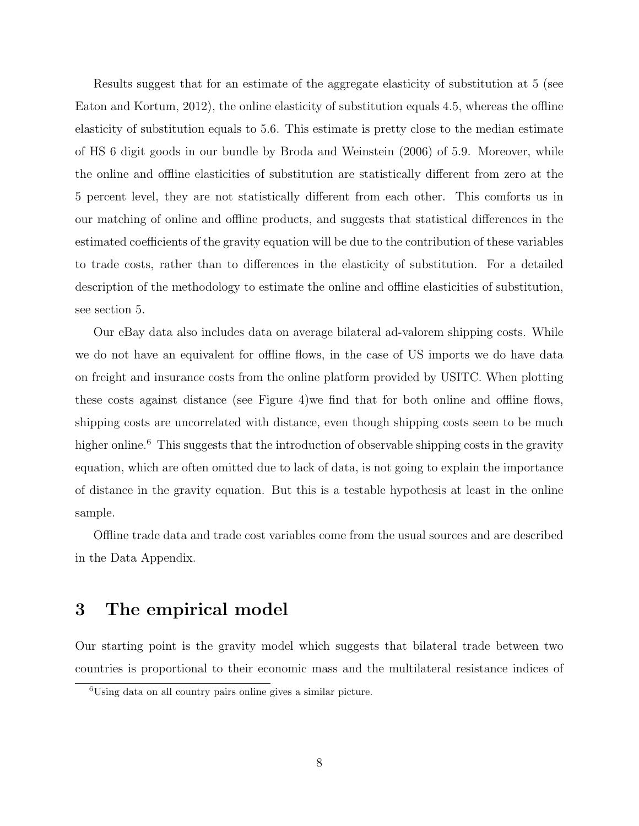Results suggest that for an estimate of the aggregate elasticity of substitution at 5 (see Eaton and Kortum, 2012), the online elasticity of substitution equals 4.5, whereas the offline elasticity of substitution equals to 5.6. This estimate is pretty close to the median estimate of HS 6 digit goods in our bundle by Broda and Weinstein (2006) of 5.9. Moreover, while the online and offline elasticities of substitution are statistically different from zero at the 5 percent level, they are not statistically different from each other. This comforts us in our matching of online and offline products, and suggests that statistical differences in the estimated coefficients of the gravity equation will be due to the contribution of these variables to trade costs, rather than to differences in the elasticity of substitution. For a detailed description of the methodology to estimate the online and offline elasticities of substitution, see section 5.

Our eBay data also includes data on average bilateral ad-valorem shipping costs. While we do not have an equivalent for offline flows, in the case of US imports we do have data on freight and insurance costs from the online platform provided by USITC. When plotting these costs against distance (see Figure 4)we find that for both online and offline flows, shipping costs are uncorrelated with distance, even though shipping costs seem to be much higher online.<sup>6</sup> This suggests that the introduction of observable shipping costs in the gravity equation, which are often omitted due to lack of data, is not going to explain the importance of distance in the gravity equation. But this is a testable hypothesis at least in the online sample.

Offline trade data and trade cost variables come from the usual sources and are described in the Data Appendix.

## 3 The empirical model

Our starting point is the gravity model which suggests that bilateral trade between two countries is proportional to their economic mass and the multilateral resistance indices of

<sup>6</sup>Using data on all country pairs online gives a similar picture.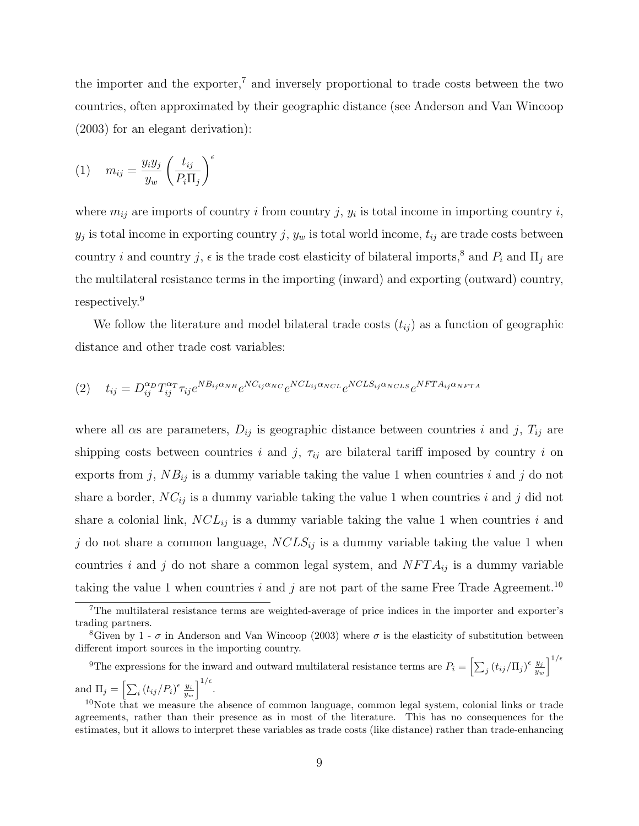the importer and the exporter,<sup>7</sup> and inversely proportional to trade costs between the two countries, often approximated by their geographic distance (see Anderson and Van Wincoop (2003) for an elegant derivation):

$$
(1) \t m_{ij} = \frac{y_i y_j}{y_w} \left(\frac{t_{ij}}{P_i \Pi_j}\right)^{\epsilon}
$$

where  $m_{ij}$  are imports of country i from country j,  $y_i$  is total income in importing country i,  $y_j$  is total income in exporting country j,  $y_w$  is total world income,  $t_{ij}$  are trade costs between country i and country j,  $\epsilon$  is the trade cost elasticity of bilateral imports,<sup>8</sup> and  $P_i$  and  $\Pi_j$  are the multilateral resistance terms in the importing (inward) and exporting (outward) country, respectively.<sup>9</sup>

We follow the literature and model bilateral trade costs  $(t_{ij})$  as a function of geographic distance and other trade cost variables:

$$
(2) \t t_{ij} = D_{ij}^{\alpha_D} T_{ij}^{\alpha_T} \tau_{ij} e^{NB_{ij\alpha_{NB}}} e^{NC_{ij\alpha_{NC}}} e^{NC_{ij\alpha_{NCL}}} e^{NCLS_{ij\alpha_{NCLS}}} e^{NFTA_{ij\alpha_{NFTA}}}
$$

where all  $\alpha s$  are parameters,  $D_{ij}$  is geographic distance between countries i and j,  $T_{ij}$  are shipping costs between countries i and j,  $\tau_{ij}$  are bilateral tariff imposed by country i on exports from j,  $NB_{ij}$  is a dummy variable taking the value 1 when countries i and j do not share a border,  $NC_{ij}$  is a dummy variable taking the value 1 when countries i and j did not share a colonial link,  $NCL_{ij}$  is a dummy variable taking the value 1 when countries i and j do not share a common language,  $NCLS_{ij}$  is a dummy variable taking the value 1 when countries i and j do not share a common legal system, and  $NFTA_{ij}$  is a dummy variable taking the value 1 when countries i and j are not part of the same Free Trade Agreement.<sup>10</sup>

<sup>9</sup>The expressions for the inward and outward multilateral resistance terms are  $P_i = \left[\sum_j (t_{ij}/\Pi_j)^{\epsilon} \frac{y_j}{y_u}\right]$  $\frac{y_j}{y_w}\Big]^{1/\epsilon}$ and  $\Pi_j = \left[\sum_i (t_{ij}/P_i)^{\epsilon} \frac{y_i}{y_w}\right]^{1/\epsilon}$ .

<sup>7</sup>The multilateral resistance terms are weighted-average of price indices in the importer and exporter's trading partners.

<sup>&</sup>lt;sup>8</sup>Given by 1 -  $\sigma$  in Anderson and Van Wincoop (2003) where  $\sigma$  is the elasticity of substitution between different import sources in the importing country.

<sup>&</sup>lt;sup>10</sup>Note that we measure the absence of common language, common legal system, colonial links or trade agreements, rather than their presence as in most of the literature. This has no consequences for the estimates, but it allows to interpret these variables as trade costs (like distance) rather than trade-enhancing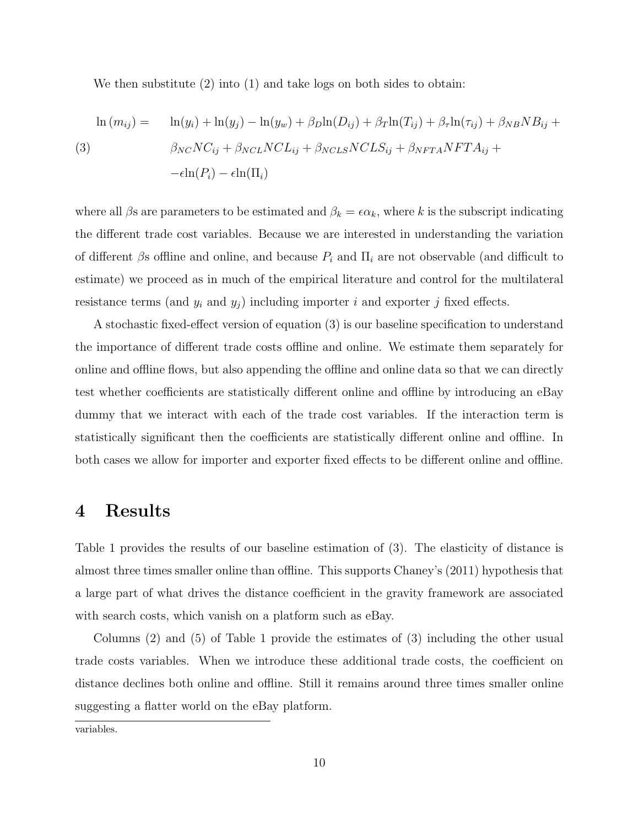We then substitute (2) into (1) and take logs on both sides to obtain:

$$
\ln(m_{ij}) = \ln(y_i) + \ln(y_j) - \ln(y_w) + \beta_D \ln(D_{ij}) + \beta_T \ln(T_{ij}) + \beta_T \ln(\tau_{ij}) + \beta_{NB} NB_{ij} +
$$
  
(3)  

$$
\beta_{NC} NC_{ij} + \beta_{NCL} NCL_{ij} + \beta_{NCLS} NCLS_{ij} + \beta_{NFTA} NFTA_{ij} +
$$
  

$$
-\epsilon \ln(P_i) - \epsilon \ln(\Pi_i)
$$

where all  $\beta$ s are parameters to be estimated and  $\beta_k = \epsilon \alpha_k$ , where k is the subscript indicating the different trade cost variables. Because we are interested in understanding the variation of different  $\beta$ s offline and online, and because  $P_i$  and  $\Pi_i$  are not observable (and difficult to estimate) we proceed as in much of the empirical literature and control for the multilateral resistance terms (and  $y_i$  and  $y_j$ ) including importer i and exporter j fixed effects.

A stochastic fixed-effect version of equation (3) is our baseline specification to understand the importance of different trade costs offline and online. We estimate them separately for online and offline flows, but also appending the offline and online data so that we can directly test whether coefficients are statistically different online and offline by introducing an eBay dummy that we interact with each of the trade cost variables. If the interaction term is statistically significant then the coefficients are statistically different online and offline. In both cases we allow for importer and exporter fixed effects to be different online and offline.

## 4 Results

Table 1 provides the results of our baseline estimation of (3). The elasticity of distance is almost three times smaller online than offline. This supports Chaney's (2011) hypothesis that a large part of what drives the distance coefficient in the gravity framework are associated with search costs, which vanish on a platform such as eBay.

Columns (2) and (5) of Table 1 provide the estimates of (3) including the other usual trade costs variables. When we introduce these additional trade costs, the coefficient on distance declines both online and offline. Still it remains around three times smaller online suggesting a flatter world on the eBay platform.

variables.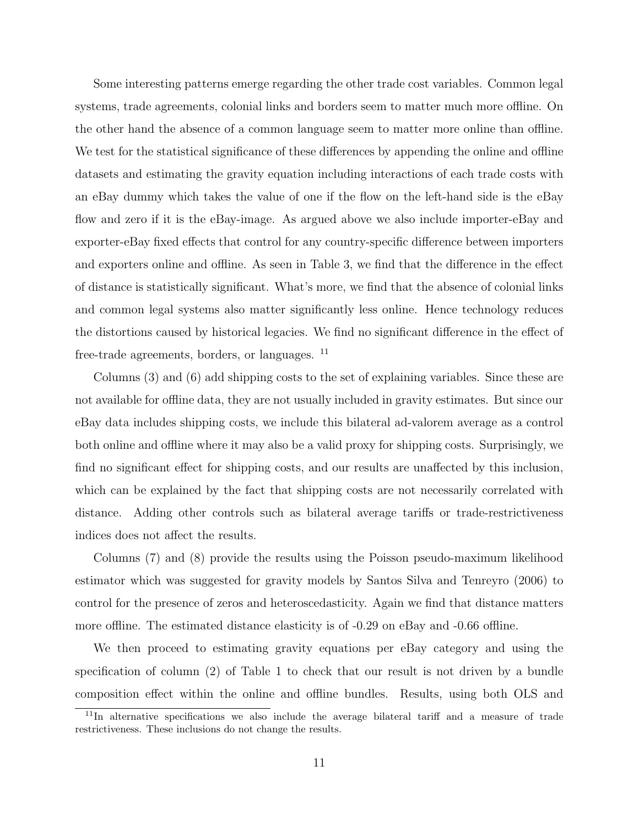Some interesting patterns emerge regarding the other trade cost variables. Common legal systems, trade agreements, colonial links and borders seem to matter much more offline. On the other hand the absence of a common language seem to matter more online than offline. We test for the statistical significance of these differences by appending the online and offline datasets and estimating the gravity equation including interactions of each trade costs with an eBay dummy which takes the value of one if the flow on the left-hand side is the eBay flow and zero if it is the eBay-image. As argued above we also include importer-eBay and exporter-eBay fixed effects that control for any country-specific difference between importers and exporters online and offline. As seen in Table 3, we find that the difference in the effect of distance is statistically significant. What's more, we find that the absence of colonial links and common legal systems also matter significantly less online. Hence technology reduces the distortions caused by historical legacies. We find no significant difference in the effect of free-trade agreements, borders, or languages. <sup>11</sup>

Columns (3) and (6) add shipping costs to the set of explaining variables. Since these are not available for offline data, they are not usually included in gravity estimates. But since our eBay data includes shipping costs, we include this bilateral ad-valorem average as a control both online and offline where it may also be a valid proxy for shipping costs. Surprisingly, we find no significant effect for shipping costs, and our results are unaffected by this inclusion, which can be explained by the fact that shipping costs are not necessarily correlated with distance. Adding other controls such as bilateral average tariffs or trade-restrictiveness indices does not affect the results.

Columns (7) and (8) provide the results using the Poisson pseudo-maximum likelihood estimator which was suggested for gravity models by Santos Silva and Tenreyro (2006) to control for the presence of zeros and heteroscedasticity. Again we find that distance matters more offline. The estimated distance elasticity is of -0.29 on eBay and -0.66 offline.

We then proceed to estimating gravity equations per eBay category and using the specification of column (2) of Table 1 to check that our result is not driven by a bundle composition effect within the online and offline bundles. Results, using both OLS and

<sup>&</sup>lt;sup>11</sup>In alternative specifications we also include the average bilateral tariff and a measure of trade restrictiveness. These inclusions do not change the results.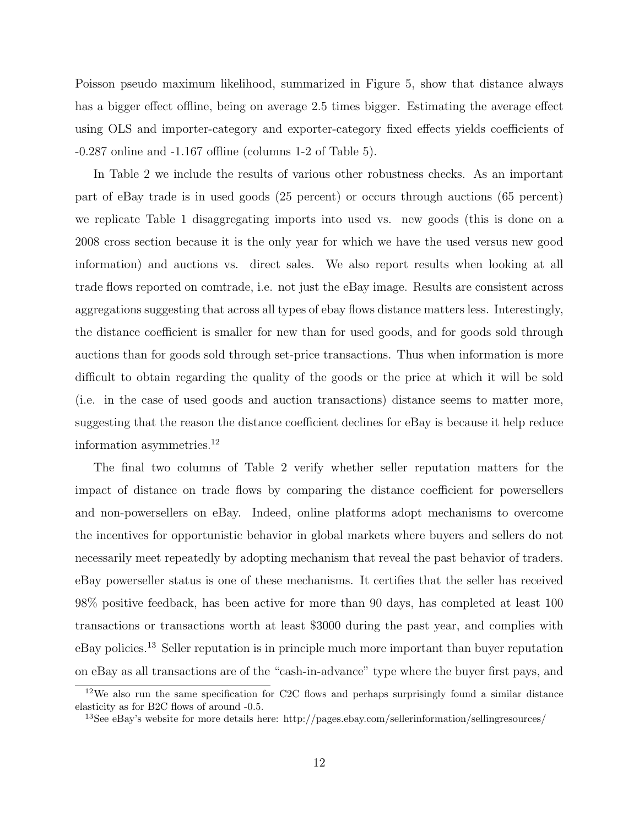Poisson pseudo maximum likelihood, summarized in Figure 5, show that distance always has a bigger effect offline, being on average 2.5 times bigger. Estimating the average effect using OLS and importer-category and exporter-category fixed effects yields coefficients of -0.287 online and -1.167 offline (columns 1-2 of Table 5).

In Table 2 we include the results of various other robustness checks. As an important part of eBay trade is in used goods (25 percent) or occurs through auctions (65 percent) we replicate Table 1 disaggregating imports into used vs. new goods (this is done on a 2008 cross section because it is the only year for which we have the used versus new good information) and auctions vs. direct sales. We also report results when looking at all trade flows reported on comtrade, i.e. not just the eBay image. Results are consistent across aggregations suggesting that across all types of ebay flows distance matters less. Interestingly, the distance coefficient is smaller for new than for used goods, and for goods sold through auctions than for goods sold through set-price transactions. Thus when information is more difficult to obtain regarding the quality of the goods or the price at which it will be sold (i.e. in the case of used goods and auction transactions) distance seems to matter more, suggesting that the reason the distance coefficient declines for eBay is because it help reduce information asymmetries.<sup>12</sup>

The final two columns of Table 2 verify whether seller reputation matters for the impact of distance on trade flows by comparing the distance coefficient for powersellers and non-powersellers on eBay. Indeed, online platforms adopt mechanisms to overcome the incentives for opportunistic behavior in global markets where buyers and sellers do not necessarily meet repeatedly by adopting mechanism that reveal the past behavior of traders. eBay powerseller status is one of these mechanisms. It certifies that the seller has received 98% positive feedback, has been active for more than 90 days, has completed at least 100 transactions or transactions worth at least \$3000 during the past year, and complies with eBay policies.<sup>13</sup> Seller reputation is in principle much more important than buyer reputation on eBay as all transactions are of the "cash-in-advance" type where the buyer first pays, and

 $12\text{We also run the same specification for C2C flows and perhaps surprisingly found a similar distance.}$ elasticity as for B2C flows of around -0.5.

<sup>13</sup>See eBay's website for more details here: http://pages.ebay.com/sellerinformation/sellingresources/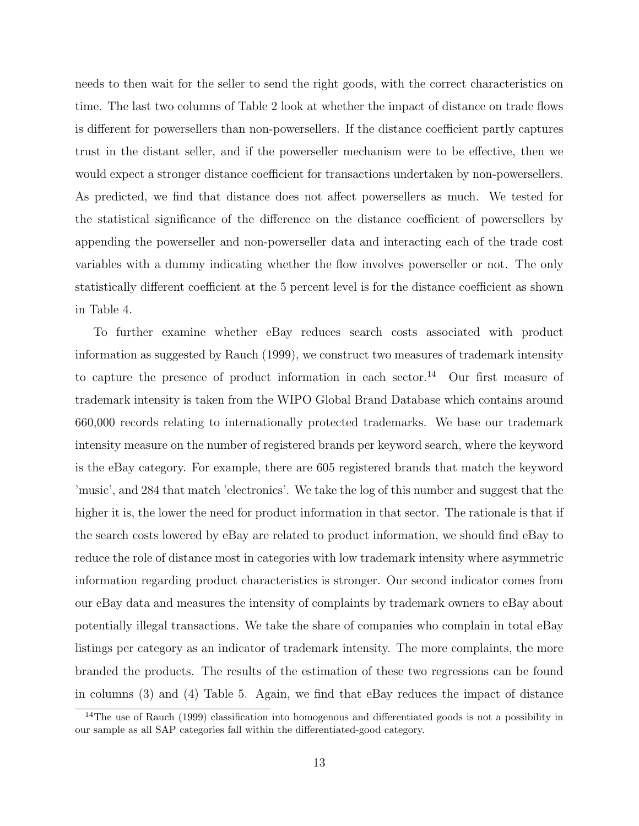needs to then wait for the seller to send the right goods, with the correct characteristics on time. The last two columns of Table 2 look at whether the impact of distance on trade flows is different for powersellers than non-powersellers. If the distance coefficient partly captures trust in the distant seller, and if the powerseller mechanism were to be effective, then we would expect a stronger distance coefficient for transactions undertaken by non-powersellers. As predicted, we find that distance does not affect powersellers as much. We tested for the statistical significance of the difference on the distance coefficient of powersellers by appending the powerseller and non-powerseller data and interacting each of the trade cost variables with a dummy indicating whether the flow involves powerseller or not. The only statistically different coefficient at the 5 percent level is for the distance coefficient as shown in Table 4.

To further examine whether eBay reduces search costs associated with product information as suggested by Rauch (1999), we construct two measures of trademark intensity to capture the presence of product information in each sector.<sup>14</sup> Our first measure of trademark intensity is taken from the WIPO Global Brand Database which contains around 660,000 records relating to internationally protected trademarks. We base our trademark intensity measure on the number of registered brands per keyword search, where the keyword is the eBay category. For example, there are 605 registered brands that match the keyword 'music', and 284 that match 'electronics'. We take the log of this number and suggest that the higher it is, the lower the need for product information in that sector. The rationale is that if the search costs lowered by eBay are related to product information, we should find eBay to reduce the role of distance most in categories with low trademark intensity where asymmetric information regarding product characteristics is stronger. Our second indicator comes from our eBay data and measures the intensity of complaints by trademark owners to eBay about potentially illegal transactions. We take the share of companies who complain in total eBay listings per category as an indicator of trademark intensity. The more complaints, the more branded the products. The results of the estimation of these two regressions can be found in columns (3) and (4) Table 5. Again, we find that eBay reduces the impact of distance

<sup>&</sup>lt;sup>14</sup>The use of Rauch (1999) classification into homogenous and differentiated goods is not a possibility in our sample as all SAP categories fall within the differentiated-good category.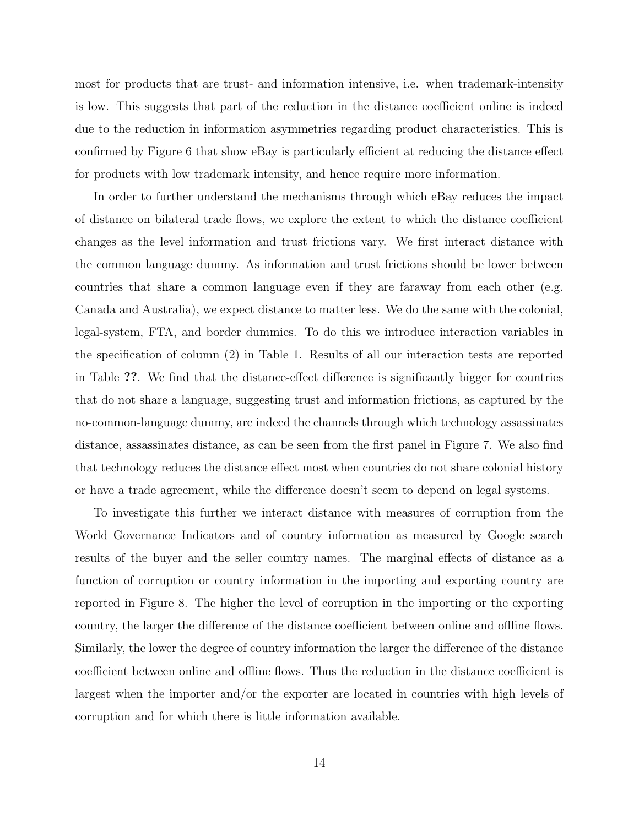most for products that are trust- and information intensive, i.e. when trademark-intensity is low. This suggests that part of the reduction in the distance coefficient online is indeed due to the reduction in information asymmetries regarding product characteristics. This is confirmed by Figure 6 that show eBay is particularly efficient at reducing the distance effect for products with low trademark intensity, and hence require more information.

In order to further understand the mechanisms through which eBay reduces the impact of distance on bilateral trade flows, we explore the extent to which the distance coefficient changes as the level information and trust frictions vary. We first interact distance with the common language dummy. As information and trust frictions should be lower between countries that share a common language even if they are faraway from each other (e.g. Canada and Australia), we expect distance to matter less. We do the same with the colonial, legal-system, FTA, and border dummies. To do this we introduce interaction variables in the specification of column (2) in Table 1. Results of all our interaction tests are reported in Table ??. We find that the distance-effect difference is significantly bigger for countries that do not share a language, suggesting trust and information frictions, as captured by the no-common-language dummy, are indeed the channels through which technology assassinates distance, assassinates distance, as can be seen from the first panel in Figure 7. We also find that technology reduces the distance effect most when countries do not share colonial history or have a trade agreement, while the difference doesn't seem to depend on legal systems.

To investigate this further we interact distance with measures of corruption from the World Governance Indicators and of country information as measured by Google search results of the buyer and the seller country names. The marginal effects of distance as a function of corruption or country information in the importing and exporting country are reported in Figure 8. The higher the level of corruption in the importing or the exporting country, the larger the difference of the distance coefficient between online and offline flows. Similarly, the lower the degree of country information the larger the difference of the distance coefficient between online and offline flows. Thus the reduction in the distance coefficient is largest when the importer and/or the exporter are located in countries with high levels of corruption and for which there is little information available.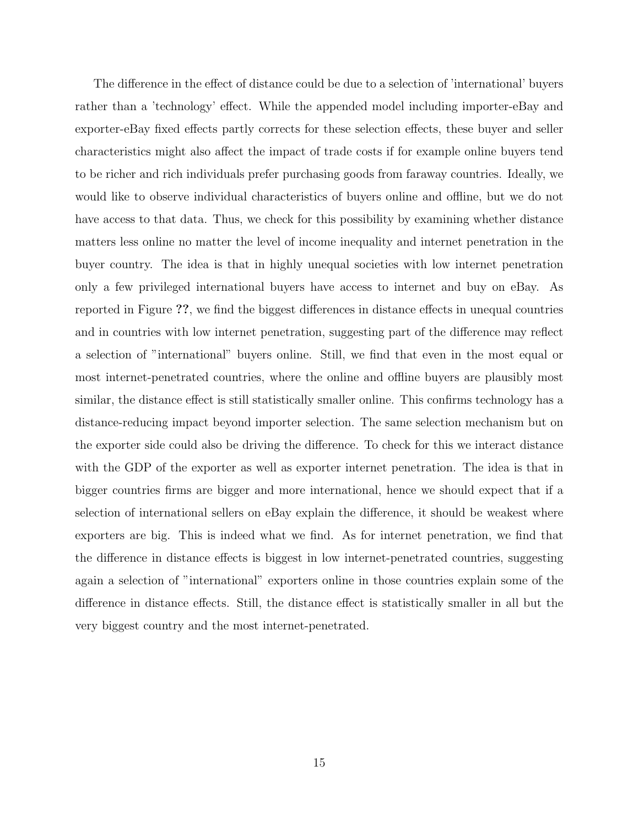The difference in the effect of distance could be due to a selection of 'international' buyers rather than a 'technology' effect. While the appended model including importer-eBay and exporter-eBay fixed effects partly corrects for these selection effects, these buyer and seller characteristics might also affect the impact of trade costs if for example online buyers tend to be richer and rich individuals prefer purchasing goods from faraway countries. Ideally, we would like to observe individual characteristics of buyers online and offline, but we do not have access to that data. Thus, we check for this possibility by examining whether distance matters less online no matter the level of income inequality and internet penetration in the buyer country. The idea is that in highly unequal societies with low internet penetration only a few privileged international buyers have access to internet and buy on eBay. As reported in Figure ??, we find the biggest differences in distance effects in unequal countries and in countries with low internet penetration, suggesting part of the difference may reflect a selection of "international" buyers online. Still, we find that even in the most equal or most internet-penetrated countries, where the online and offline buyers are plausibly most similar, the distance effect is still statistically smaller online. This confirms technology has a distance-reducing impact beyond importer selection. The same selection mechanism but on the exporter side could also be driving the difference. To check for this we interact distance with the GDP of the exporter as well as exporter internet penetration. The idea is that in bigger countries firms are bigger and more international, hence we should expect that if a selection of international sellers on eBay explain the difference, it should be weakest where exporters are big. This is indeed what we find. As for internet penetration, we find that the difference in distance effects is biggest in low internet-penetrated countries, suggesting again a selection of "international" exporters online in those countries explain some of the difference in distance effects. Still, the distance effect is statistically smaller in all but the very biggest country and the most internet-penetrated.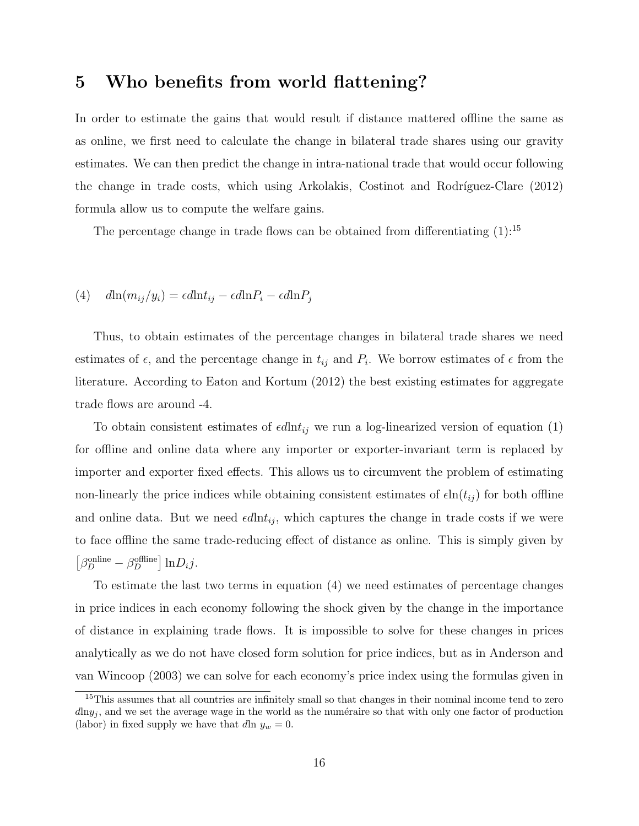## 5 Who benefits from world flattening?

In order to estimate the gains that would result if distance mattered offline the same as as online, we first need to calculate the change in bilateral trade shares using our gravity estimates. We can then predict the change in intra-national trade that would occur following the change in trade costs, which using Arkolakis, Costinot and Rodríguez-Clare  $(2012)$ formula allow us to compute the welfare gains.

The percentage change in trade flows can be obtained from differentiating  $(1)$ :<sup>15</sup>

### (4)  $d\ln(m_{ij}/y_i) = \epsilon d\ln t_{ij} - \epsilon d\ln P_i - \epsilon d\ln P_j$

Thus, to obtain estimates of the percentage changes in bilateral trade shares we need estimates of  $\epsilon$ , and the percentage change in  $t_{ij}$  and  $P_i$ . We borrow estimates of  $\epsilon$  from the literature. According to Eaton and Kortum (2012) the best existing estimates for aggregate trade flows are around -4.

To obtain consistent estimates of  $\epsilon d\text{ln}t_{ij}$  we run a log-linearized version of equation (1) for offline and online data where any importer or exporter-invariant term is replaced by importer and exporter fixed effects. This allows us to circumvent the problem of estimating non-linearly the price indices while obtaining consistent estimates of  $\epsilon \ln(t_{ij})$  for both offline and online data. But we need  $\epsilon d\ln t_{ij}$ , which captures the change in trade costs if we were to face offline the same trade-reducing effect of distance as online. This is simply given by  $\left[\beta_D^{\text{online}} - \beta_D^{\text{offline}}\right] \ln D_i j.$ 

To estimate the last two terms in equation (4) we need estimates of percentage changes in price indices in each economy following the shock given by the change in the importance of distance in explaining trade flows. It is impossible to solve for these changes in prices analytically as we do not have closed form solution for price indices, but as in Anderson and van Wincoop (2003) we can solve for each economy's price index using the formulas given in

<sup>&</sup>lt;sup>15</sup>This assumes that all countries are infinitely small so that changes in their nominal income tend to zero  $d\ln y_i$ , and we set the average wage in the world as the numéraire so that with only one factor of production (labor) in fixed supply we have that dln  $y_w = 0$ .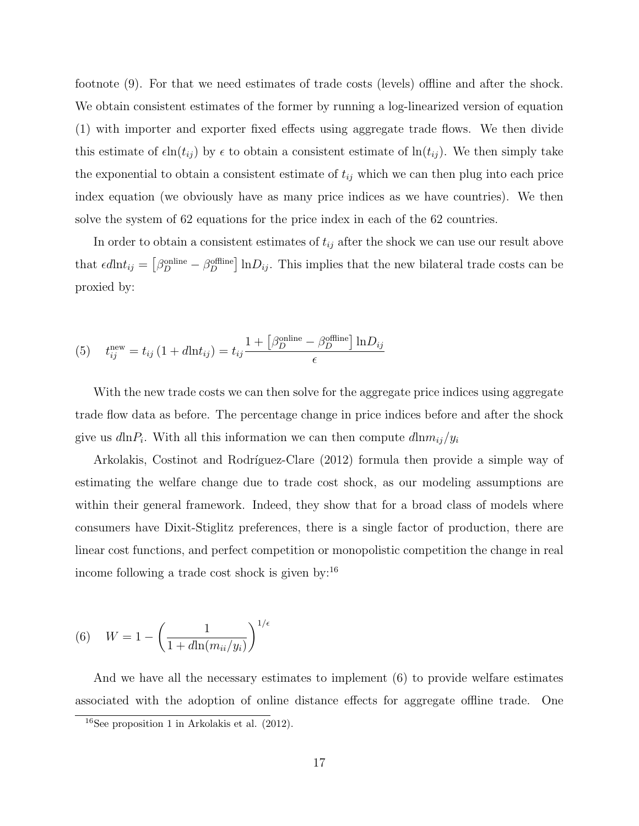footnote (9). For that we need estimates of trade costs (levels) offline and after the shock. We obtain consistent estimates of the former by running a log-linearized version of equation (1) with importer and exporter fixed effects using aggregate trade flows. We then divide this estimate of  $\epsilon \ln(t_{ij})$  by  $\epsilon$  to obtain a consistent estimate of  $\ln(t_{ij})$ . We then simply take the exponential to obtain a consistent estimate of  $t_{ij}$  which we can then plug into each price index equation (we obviously have as many price indices as we have countries). We then solve the system of 62 equations for the price index in each of the 62 countries.

In order to obtain a consistent estimates of  $t_{ij}$  after the shock we can use our result above that  $\epsilon d\ln t_{ij} = \left[\beta_D^{\text{online}} - \beta_D^{\text{offline}}\right] \ln D_{ij}$ . This implies that the new bilateral trade costs can be proxied by:

(5) 
$$
t_{ij}^{\text{new}} = t_{ij} \left( 1 + d \ln t_{ij} \right) = t_{ij} \frac{1 + \left[ \beta_D^{\text{online}} - \beta_D^{\text{offline}} \right] \ln D_{ij}}{\epsilon}
$$

With the new trade costs we can then solve for the aggregate price indices using aggregate trade flow data as before. The percentage change in price indices before and after the shock give us  $d\ln P_i$ . With all this information we can then compute  $d\ln m_{ij}/y_i$ 

Arkolakis, Costinot and Rodríguez-Clare (2012) formula then provide a simple way of estimating the welfare change due to trade cost shock, as our modeling assumptions are within their general framework. Indeed, they show that for a broad class of models where consumers have Dixit-Stiglitz preferences, there is a single factor of production, there are linear cost functions, and perfect competition or monopolistic competition the change in real income following a trade cost shock is given by:<sup>16</sup>

(6) 
$$
W = 1 - \left(\frac{1}{1 + d\ln(m_{ii}/y_i)}\right)^{1/\epsilon}
$$

And we have all the necessary estimates to implement (6) to provide welfare estimates associated with the adoption of online distance effects for aggregate offline trade. One

<sup>16</sup>See proposition 1 in Arkolakis et al. (2012).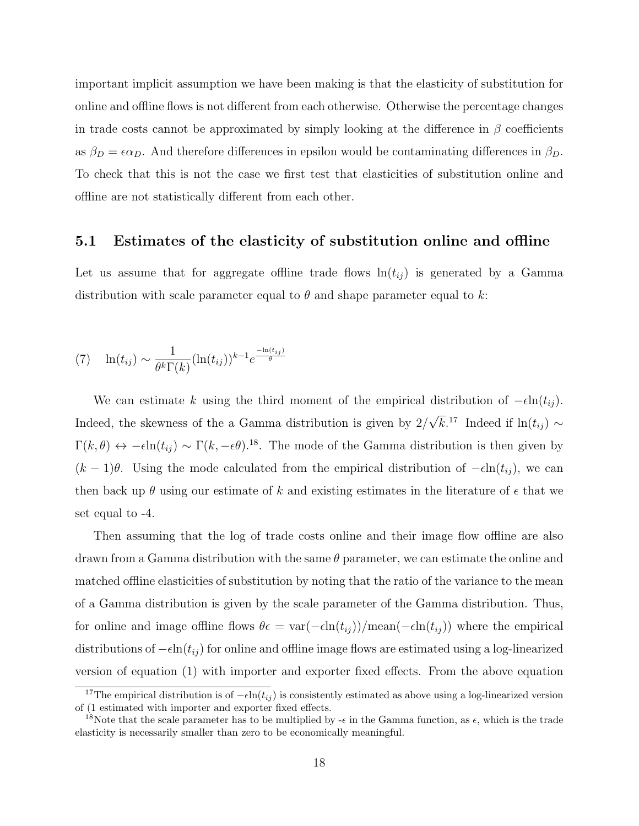important implicit assumption we have been making is that the elasticity of substitution for online and offline flows is not different from each otherwise. Otherwise the percentage changes in trade costs cannot be approximated by simply looking at the difference in  $\beta$  coefficients as  $\beta_D = \epsilon \alpha_D$ . And therefore differences in epsilon would be contaminating differences in  $\beta_D$ . To check that this is not the case we first test that elasticities of substitution online and offline are not statistically different from each other.

#### 5.1 Estimates of the elasticity of substitution online and offline

Let us assume that for aggregate offline trade flows  $\ln(t_{ij})$  is generated by a Gamma distribution with scale parameter equal to  $\theta$  and shape parameter equal to k:

$$
(7) \quad \ln(t_{ij}) \sim \frac{1}{\theta^k \Gamma(k)} (\ln(t_{ij}))^{k-1} e^{\frac{-\ln(t_{ij})}{\theta}}
$$

We can estimate k using the third moment of the empirical distribution of  $-\epsilon \ln(t_{ij})$ . Indeed, the skewness of the a Gamma distribution is given by 2/ √  $\overline{k}$ .<sup>17</sup> Indeed if ln( $t_{ij}$ ) ∼  $\Gamma(k,\theta) \leftrightarrow -\epsilon \ln(t_{ij}) \sim \Gamma(k,-\epsilon\theta)$ .<sup>18</sup>. The mode of the Gamma distribution is then given by  $(k-1)\theta$ . Using the mode calculated from the empirical distribution of  $-\epsilon \ln(t_{ij})$ , we can then back up  $\theta$  using our estimate of k and existing estimates in the literature of  $\epsilon$  that we set equal to -4.

Then assuming that the log of trade costs online and their image flow offline are also drawn from a Gamma distribution with the same  $\theta$  parameter, we can estimate the online and matched offline elasticities of substitution by noting that the ratio of the variance to the mean of a Gamma distribution is given by the scale parameter of the Gamma distribution. Thus, for online and image offline flows  $\theta \epsilon = \text{var}(-\epsilon \ln(t_{ij})) / \text{mean}(-\epsilon \ln(t_{ij}))$  where the empirical distributions of  $-\epsilon \ln(t_{ij})$  for online and offline image flows are estimated using a log-linearized version of equation (1) with importer and exporter fixed effects. From the above equation

<sup>&</sup>lt;sup>17</sup>The empirical distribution is of  $-\epsilon \ln(t_{ij})$  is consistently estimated as above using a log-linearized version of (1 estimated with importer and exporter fixed effects.

<sup>&</sup>lt;sup>18</sup>Note that the scale parameter has to be multiplied by  $-\epsilon$  in the Gamma function, as  $\epsilon$ , which is the trade elasticity is necessarily smaller than zero to be economically meaningful.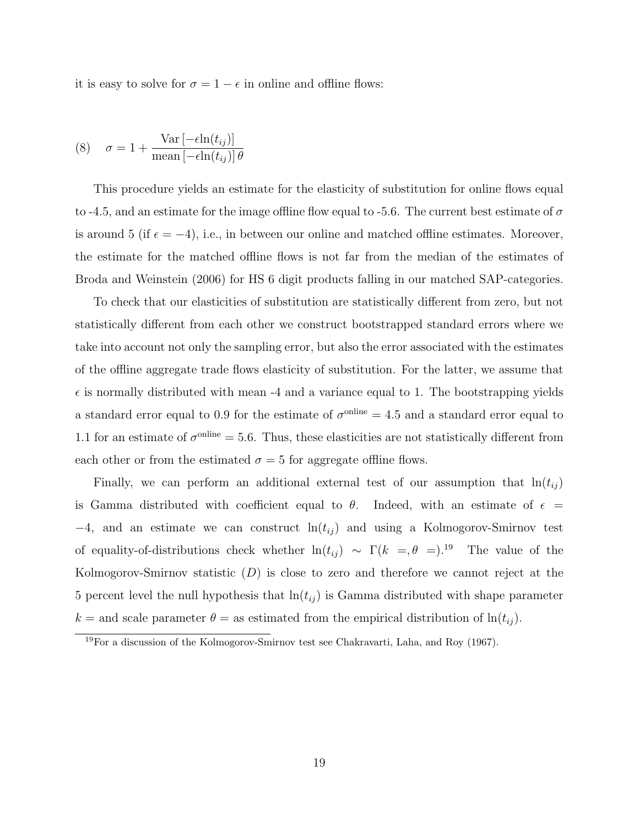it is easy to solve for  $\sigma = 1 - \epsilon$  in online and offline flows:

$$
(8) \quad \sigma = 1 + \frac{\text{Var}\left[-\epsilon \ln(t_{ij})\right]}{\text{mean}\left[-\epsilon \ln(t_{ij})\right]\theta}
$$

This procedure yields an estimate for the elasticity of substitution for online flows equal to -4.5, and an estimate for the image offline flow equal to -5.6. The current best estimate of  $\sigma$ is around 5 (if  $\epsilon = -4$ ), i.e., in between our online and matched offline estimates. Moreover, the estimate for the matched offline flows is not far from the median of the estimates of Broda and Weinstein (2006) for HS 6 digit products falling in our matched SAP-categories.

To check that our elasticities of substitution are statistically different from zero, but not statistically different from each other we construct bootstrapped standard errors where we take into account not only the sampling error, but also the error associated with the estimates of the offline aggregate trade flows elasticity of substitution. For the latter, we assume that  $\epsilon$  is normally distributed with mean -4 and a variance equal to 1. The bootstrapping yields a standard error equal to 0.9 for the estimate of  $\sigma^{\text{online}} = 4.5$  and a standard error equal to 1.1 for an estimate of  $\sigma^{\text{online}} = 5.6$ . Thus, these elasticities are not statistically different from each other or from the estimated  $\sigma = 5$  for aggregate offline flows.

Finally, we can perform an additional external test of our assumption that  $\ln(t_{ij})$ is Gamma distributed with coefficient equal to  $\theta$ . Indeed, with an estimate of  $\epsilon$  $-4$ , and an estimate we can construct  $\ln(t_{ij})$  and using a Kolmogorov-Smirnov test of equality-of-distributions check whether  $ln(t_{ij}) \sim \Gamma(k =, \theta =).^{19}$  The value of the Kolmogorov-Smirnov statistic  $(D)$  is close to zero and therefore we cannot reject at the 5 percent level the null hypothesis that  $ln(t_{ij})$  is Gamma distributed with shape parameter k = and scale parameter  $\theta$  = as estimated from the empirical distribution of  $\ln(t_{ij})$ .

<sup>19</sup>For a discussion of the Kolmogorov-Smirnov test see Chakravarti, Laha, and Roy (1967).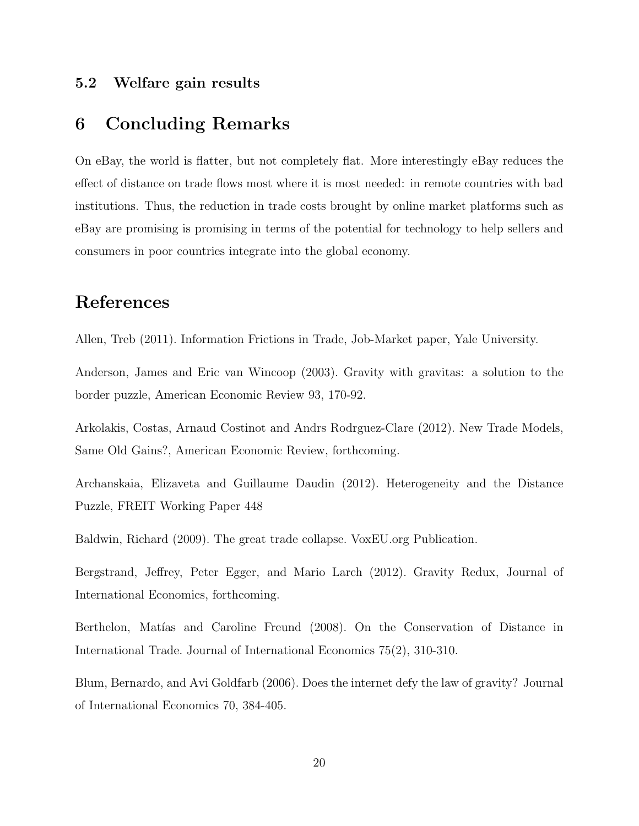#### 5.2 Welfare gain results

# 6 Concluding Remarks

On eBay, the world is flatter, but not completely flat. More interestingly eBay reduces the effect of distance on trade flows most where it is most needed: in remote countries with bad institutions. Thus, the reduction in trade costs brought by online market platforms such as eBay are promising is promising in terms of the potential for technology to help sellers and consumers in poor countries integrate into the global economy.

# References

Allen, Treb (2011). Information Frictions in Trade, Job-Market paper, Yale University.

Anderson, James and Eric van Wincoop (2003). Gravity with gravitas: a solution to the border puzzle, American Economic Review 93, 170-92.

Arkolakis, Costas, Arnaud Costinot and Andrs Rodrguez-Clare (2012). New Trade Models, Same Old Gains?, American Economic Review, forthcoming.

Archanskaia, Elizaveta and Guillaume Daudin (2012). Heterogeneity and the Distance Puzzle, FREIT Working Paper 448

Baldwin, Richard (2009). The great trade collapse. VoxEU.org Publication.

Bergstrand, Jeffrey, Peter Egger, and Mario Larch (2012). Gravity Redux, Journal of International Economics, forthcoming.

Berthelon, Matías and Caroline Freund (2008). On the Conservation of Distance in International Trade. Journal of International Economics 75(2), 310-310.

Blum, Bernardo, and Avi Goldfarb (2006). Does the internet defy the law of gravity? Journal of International Economics 70, 384-405.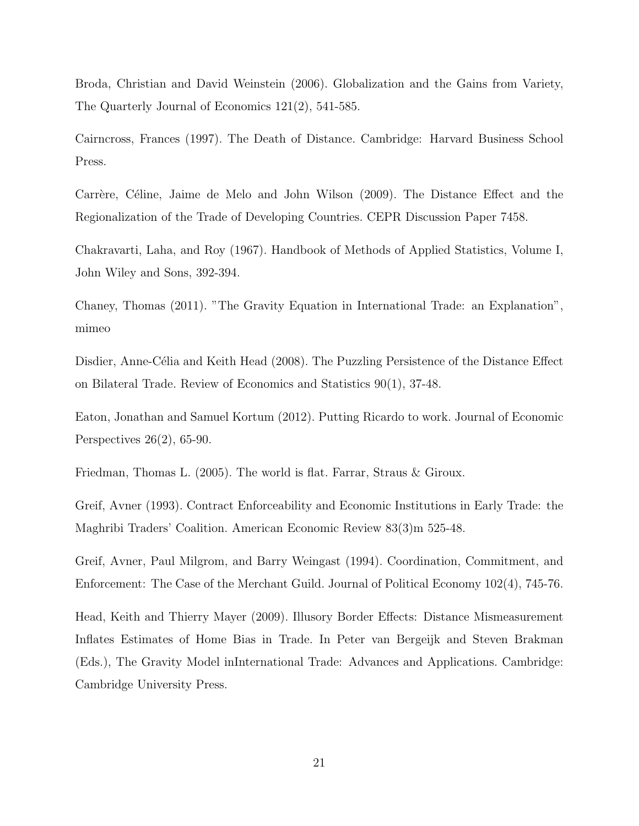Broda, Christian and David Weinstein (2006). Globalization and the Gains from Variety, The Quarterly Journal of Economics 121(2), 541-585.

Cairncross, Frances (1997). The Death of Distance. Cambridge: Harvard Business School Press.

Carrère, Céline, Jaime de Melo and John Wilson (2009). The Distance Effect and the Regionalization of the Trade of Developing Countries. CEPR Discussion Paper 7458.

Chakravarti, Laha, and Roy (1967). Handbook of Methods of Applied Statistics, Volume I, John Wiley and Sons, 392-394.

Chaney, Thomas (2011). "The Gravity Equation in International Trade: an Explanation", mimeo

Disdier, Anne-Célia and Keith Head (2008). The Puzzling Persistence of the Distance Effect on Bilateral Trade. Review of Economics and Statistics 90(1), 37-48.

Eaton, Jonathan and Samuel Kortum (2012). Putting Ricardo to work. Journal of Economic Perspectives 26(2), 65-90.

Friedman, Thomas L. (2005). The world is flat. Farrar, Straus & Giroux.

Greif, Avner (1993). Contract Enforceability and Economic Institutions in Early Trade: the Maghribi Traders' Coalition. American Economic Review 83(3)m 525-48.

Greif, Avner, Paul Milgrom, and Barry Weingast (1994). Coordination, Commitment, and Enforcement: The Case of the Merchant Guild. Journal of Political Economy 102(4), 745-76.

Head, Keith and Thierry Mayer (2009). Illusory Border Effects: Distance Mismeasurement Inflates Estimates of Home Bias in Trade. In Peter van Bergeijk and Steven Brakman (Eds.), The Gravity Model inInternational Trade: Advances and Applications. Cambridge: Cambridge University Press.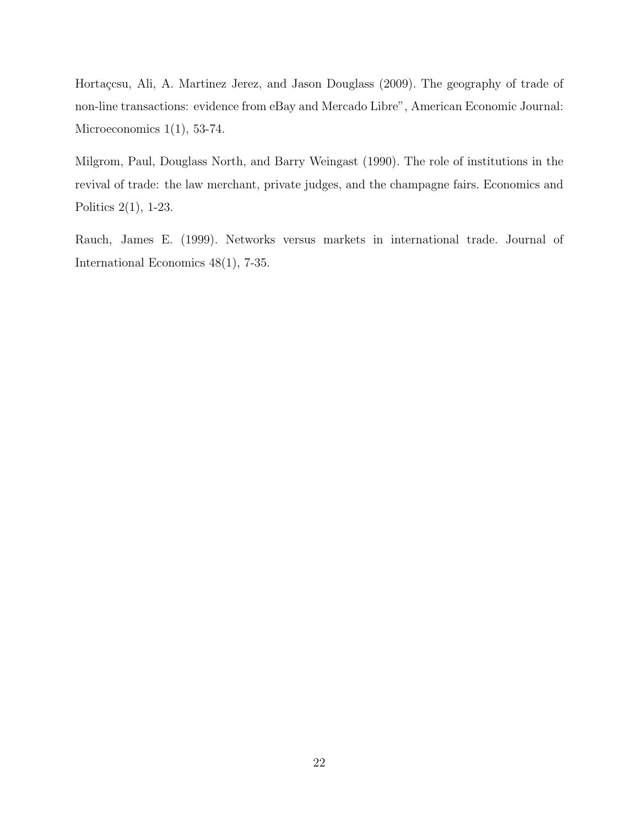Hortaçcsu, Ali, A. Martinez Jerez, and Jason Douglass (2009). The geography of trade of non-line transactions: evidence from eBay and Mercado Libre", American Economic Journal: Microeconomics  $1(1)$ , 53-74.

Milgrom, Paul, Douglass North, and Barry Weingast (1990). The role of institutions in the revival of trade: the law merchant, private judges, and the champagne fairs. Economics and Politics 2(1), 1-23.

Rauch, James E. (1999). Networks versus markets in international trade. Journal of International Economics 48(1), 7-35.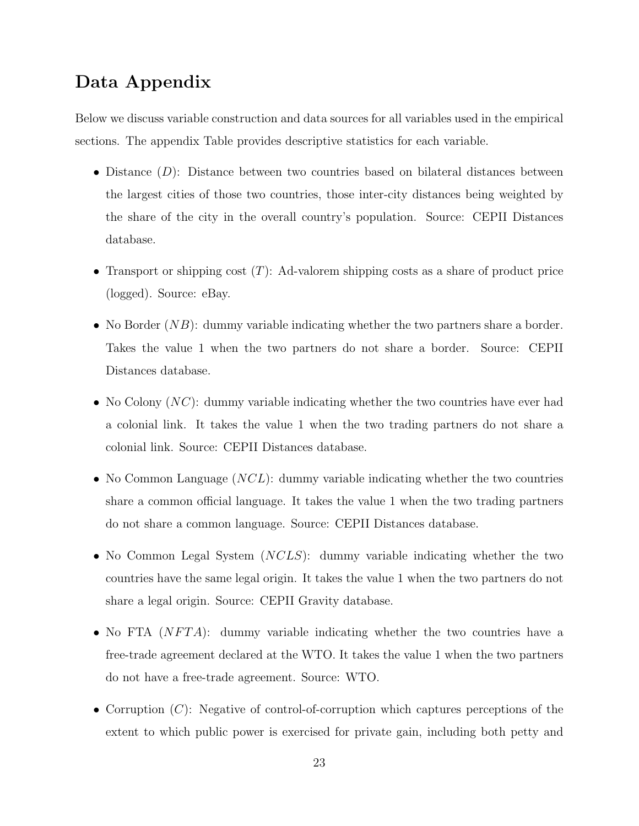# Data Appendix

Below we discuss variable construction and data sources for all variables used in the empirical sections. The appendix Table provides descriptive statistics for each variable.

- Distance  $(D)$ : Distance between two countries based on bilateral distances between the largest cities of those two countries, those inter-city distances being weighted by the share of the city in the overall country's population. Source: CEPII Distances database.
- Transport or shipping cost  $(T)$ : Ad-valorem shipping costs as a share of product price (logged). Source: eBay.
- No Border  $(NB)$ : dummy variable indicating whether the two partners share a border. Takes the value 1 when the two partners do not share a border. Source: CEPII Distances database.
- No Colony  $(NC)$ : dummy variable indicating whether the two countries have ever had a colonial link. It takes the value 1 when the two trading partners do not share a colonial link. Source: CEPII Distances database.
- No Common Language  $(NCL)$ : dummy variable indicating whether the two countries share a common official language. It takes the value 1 when the two trading partners do not share a common language. Source: CEPII Distances database.
- No Common Legal System (NCLS): dummy variable indicating whether the two countries have the same legal origin. It takes the value 1 when the two partners do not share a legal origin. Source: CEPII Gravity database.
- No FTA  $(NFTA)$ : dummy variable indicating whether the two countries have a free-trade agreement declared at the WTO. It takes the value 1 when the two partners do not have a free-trade agreement. Source: WTO.
- Corruption  $(C)$ : Negative of control-of-corruption which captures perceptions of the extent to which public power is exercised for private gain, including both petty and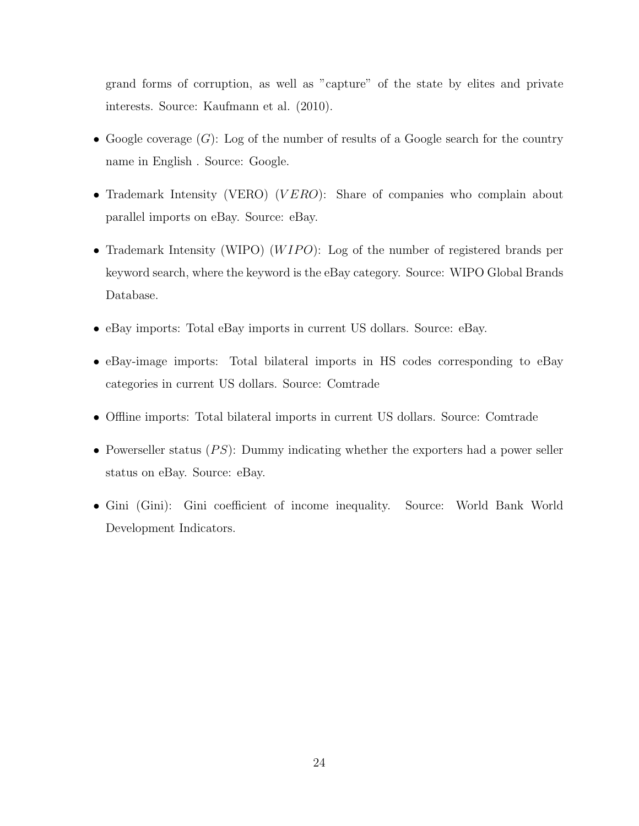grand forms of corruption, as well as "capture" of the state by elites and private interests. Source: Kaufmann et al. (2010).

- Google coverage  $(G)$ : Log of the number of results of a Google search for the country name in English . Source: Google.
- Trademark Intensity (VERO) (VERO): Share of companies who complain about parallel imports on eBay. Source: eBay.
- Trademark Intensity (WIPO) ( $WIFO$ ): Log of the number of registered brands per keyword search, where the keyword is the eBay category. Source: WIPO Global Brands Database.
- eBay imports: Total eBay imports in current US dollars. Source: eBay.
- eBay-image imports: Total bilateral imports in HS codes corresponding to eBay categories in current US dollars. Source: Comtrade
- Offline imports: Total bilateral imports in current US dollars. Source: Comtrade
- Powerseller status  $(PS)$ : Dummy indicating whether the exporters had a power seller status on eBay. Source: eBay.
- Gini (Gini): Gini coefficient of income inequality. Source: World Bank World Development Indicators.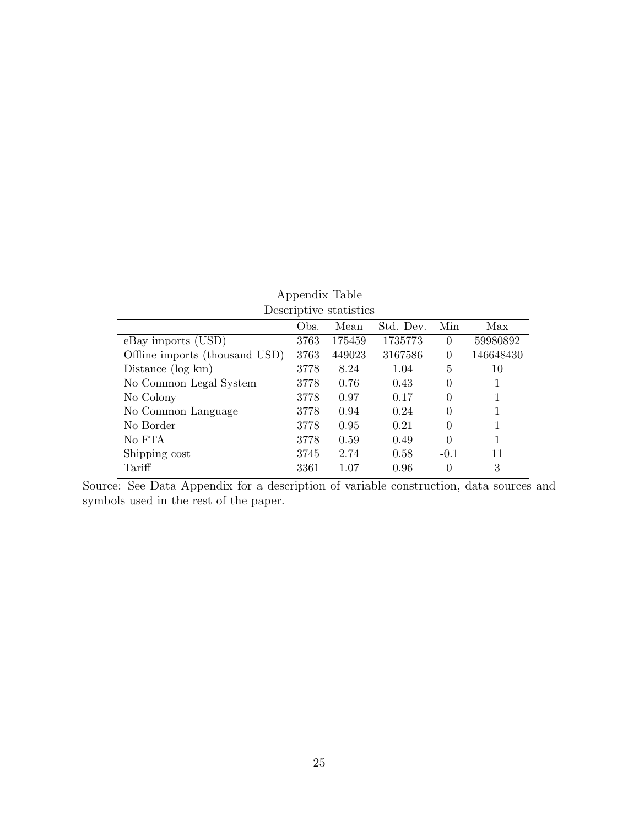|                                |      | Descriptive statistics |           |          |           |
|--------------------------------|------|------------------------|-----------|----------|-----------|
|                                | Obs. | Mean                   | Std. Dev. | Min      | Max       |
| eBay imports (USD)             | 3763 | 175459                 | 1735773   | $\theta$ | 59980892  |
| Offline imports (thousand USD) | 3763 | 449023                 | 3167586   | $\theta$ | 146648430 |
| Distance $(\log km)$           | 3778 | 8.24                   | 1.04      | 5        | 10        |
| No Common Legal System         | 3778 | 0.76                   | 0.43      | 0        | 1         |
| No Colony                      | 3778 | 0.97                   | 0.17      | 0        |           |
| No Common Language             | 3778 | 0.94                   | 0.24      | 0        | 1         |
| No Border                      | 3778 | 0.95                   | 0.21      | 0        | 1         |
| No FTA                         | 3778 | 0.59                   | 0.49      | 0        | 1         |
| Shipping cost                  | 3745 | 2.74                   | 0.58      | $-0.1$   | 11        |
| Tariff                         | 3361 | 1.07                   | 0.96      | 0        | 3         |

# Appendix Table

Source: See Data Appendix for a description of variable construction, data sources and symbols used in the rest of the paper.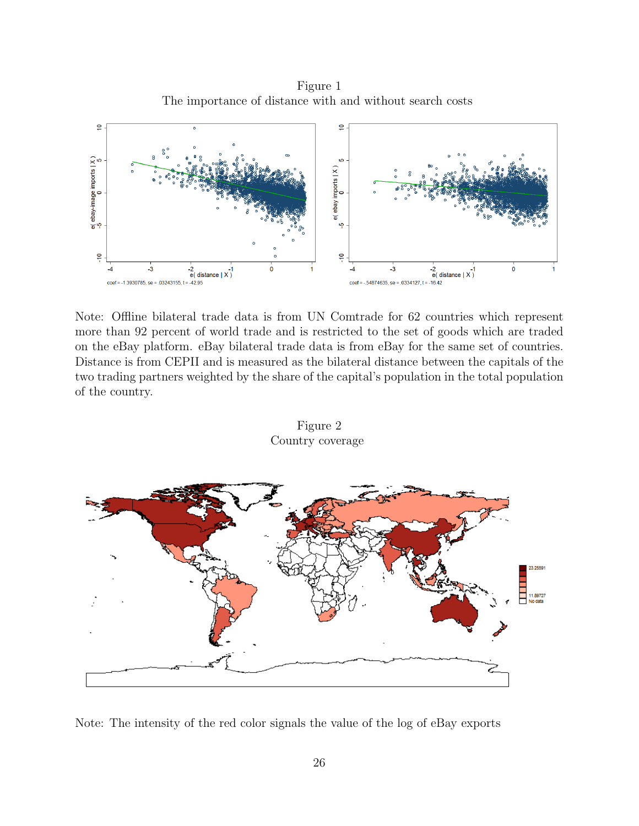Figure 1 The importance of distance with and without search costs



Note: Offline bilateral trade data is from UN Comtrade for 62 countries which represent more than 92 percent of world trade and is restricted to the set of goods which are traded on the eBay platform. eBay bilateral trade data is from eBay for the same set of countries. Distance is from CEPII and is measured as the bilateral distance between the capitals of the two trading partners weighted by the share of the capital's population in the total population of the country.



Figure 2 Country coverage

Note: The intensity of the red color signals the value of the log of eBay exports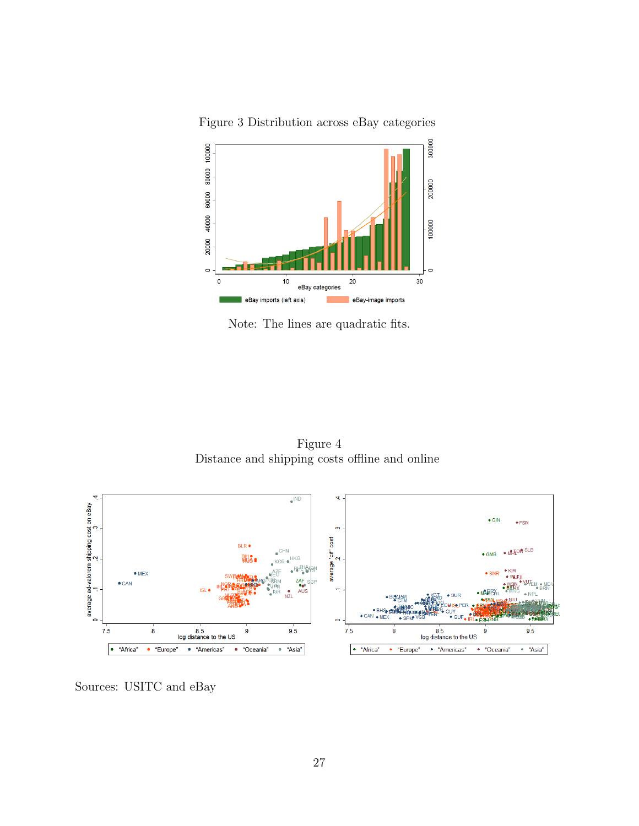

Figure 3 Distribution across eBay categories

Note: The lines are quadratic fits.

Figure 4 Distance and shipping costs offline and online



Sources: USITC and eBay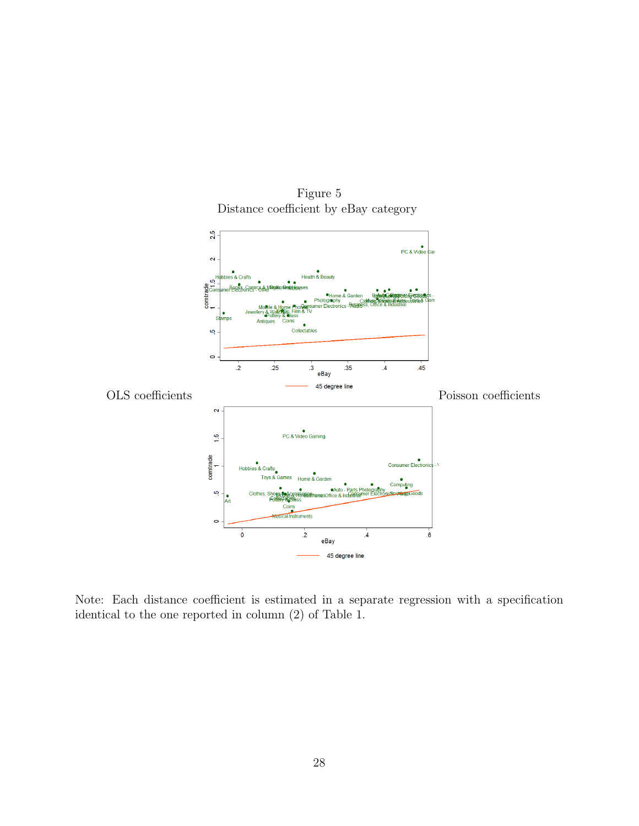

Figure 5 Distance coefficient by eBay category

Note: Each distance coefficient is estimated in a separate regression with a specification identical to the one reported in column (2) of Table 1.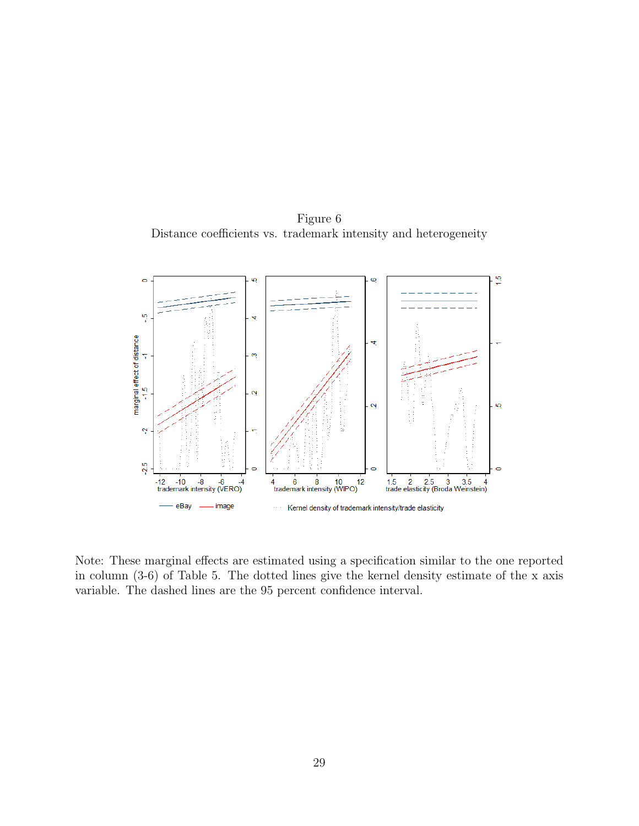Figure 6 Distance coefficients vs. trademark intensity and heterogeneity



Note: These marginal effects are estimated using a specification similar to the one reported in column (3-6) of Table 5. The dotted lines give the kernel density estimate of the x axis variable. The dashed lines are the 95 percent confidence interval.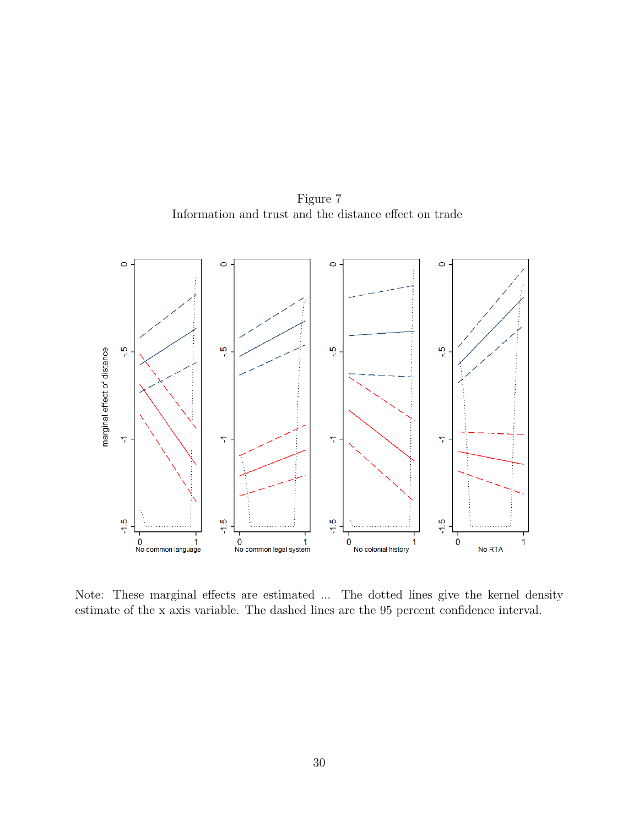Figure 7 Information and trust and the distance effect on trade



Note: These marginal effects are estimated ... The dotted lines give the kernel density estimate of the x axis variable. The dashed lines are the 95 percent confidence interval.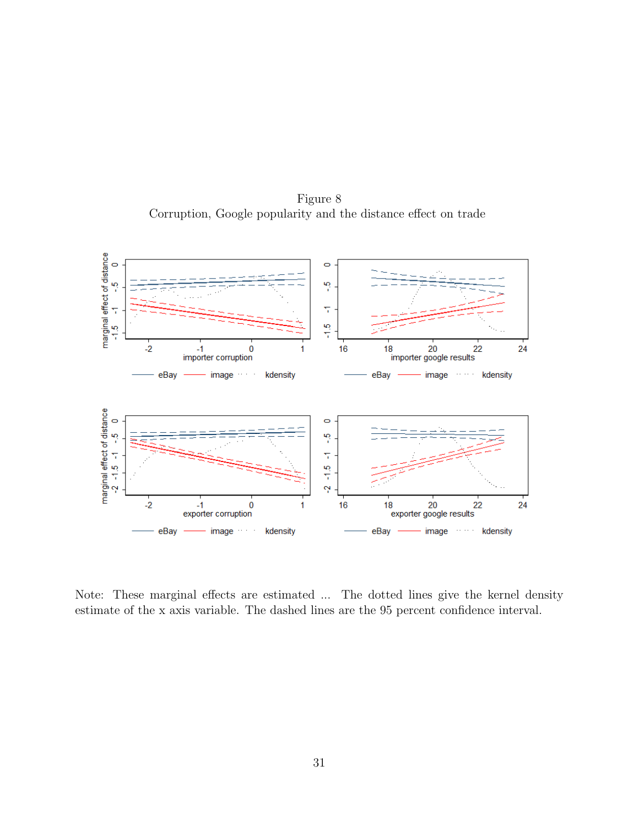Figure 8 Corruption, Google popularity and the distance effect on trade



Note: These marginal effects are estimated ... The dotted lines give the kernel density estimate of the x axis variable. The dashed lines are the 95 percent confidence interval.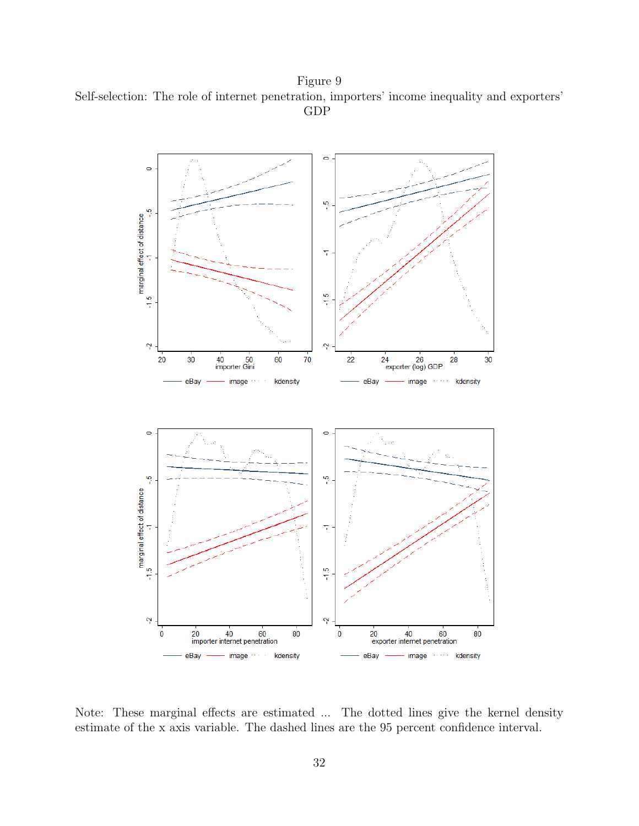Figure 9 Self-selection: The role of internet penetration, importers' income inequality and exporters' GDP



Note: These marginal effects are estimated ... The dotted lines give the kernel density estimate of the x axis variable. The dashed lines are the 95 percent confidence interval.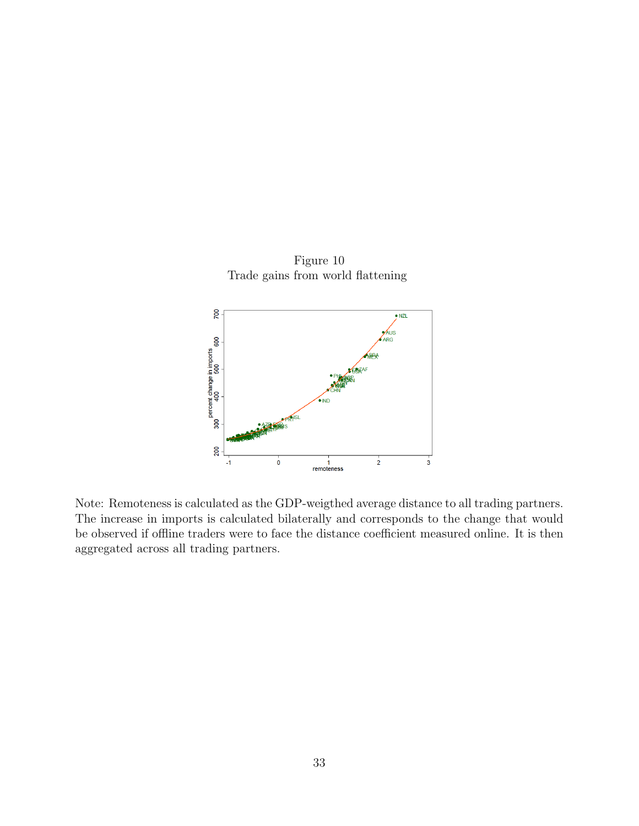

Figure 10 Trade gains from world flattening

Note: Remoteness is calculated as the GDP-weigthed average distance to all trading partners. The increase in imports is calculated bilaterally and corresponds to the change that would be observed if offline traders were to face the distance coefficient measured online. It is then aggregated across all trading partners.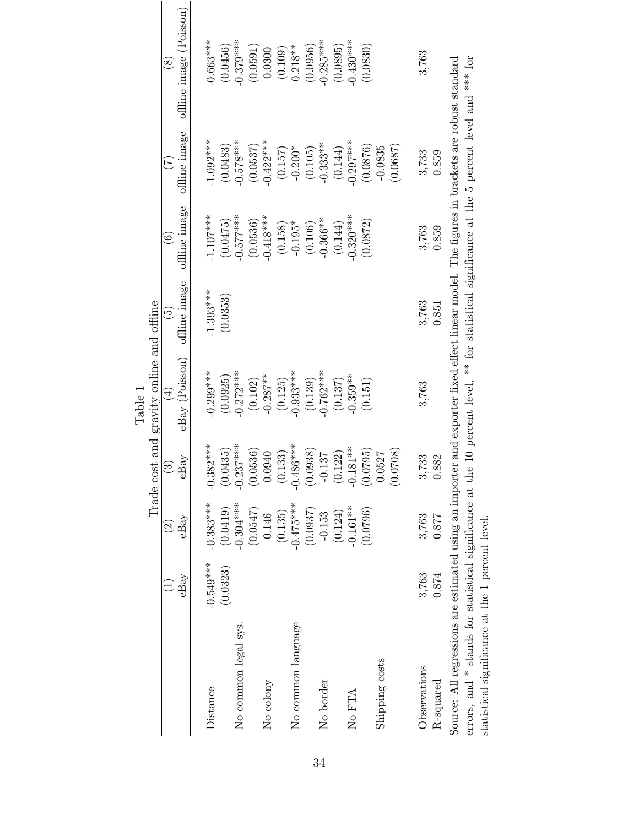|                                                                                                                                                                                                                                                               |             |                      |                          | Trade cost and gravity online and offline<br>Table i                                 |                          |                         |                           |                                |
|---------------------------------------------------------------------------------------------------------------------------------------------------------------------------------------------------------------------------------------------------------------|-------------|----------------------|--------------------------|--------------------------------------------------------------------------------------|--------------------------|-------------------------|---------------------------|--------------------------------|
|                                                                                                                                                                                                                                                               |             | $\widetilde{\Omega}$ | $\widehat{\mathfrak{S}}$ | $(\pm)$                                                                              | $\widetilde{\mathbf{e}}$ | $\widehat{\odot}$       | E                         | $\overset{\infty}{\infty}$     |
|                                                                                                                                                                                                                                                               | eBay        | $\mathrm{eBay}$      | $\mathrm{eBay}$          | eBay (Poisson)                                                                       | offline image            | offline image           | offline image             | offline image (Poisson)        |
| Distance                                                                                                                                                                                                                                                      | $-0.549***$ | $-0.383***$          | $-0.382***$              | $-0.299***$                                                                          | $-1.393***$              | $1.107***$              | $-1.092***$               | $0.663***$                     |
|                                                                                                                                                                                                                                                               | (0.0323)    | (0.0419)             | $(0.0435)$<br>-0.237***  | $(0.0925)$<br>-0.272***                                                              | (0.0353)                 | $(0.0475)$<br>-0.577*** | $(0.0483)$<br>$-0.578***$ |                                |
| No common legal sys.                                                                                                                                                                                                                                          |             | $-0.304***$          |                          |                                                                                      |                          |                         |                           | $(0.0456)$<br>-0.379***        |
|                                                                                                                                                                                                                                                               |             | (0.0547)             | (0.0536)                 | $(0.102)$<br>-0.287**                                                                |                          | $(0.0536)$<br>-0.418*** | $(0.0537)$<br>-0.422***   | $\left(0.0591\right)$ $0.0300$ |
| No colony                                                                                                                                                                                                                                                     |             | 0.146                | 0.0940                   |                                                                                      |                          |                         |                           |                                |
|                                                                                                                                                                                                                                                               |             | (0.135)              | (0.133)                  | (0.125)                                                                              |                          | (0.158)                 | (0.157)                   | (0.109)                        |
| No common language                                                                                                                                                                                                                                            |             | $-0.475***$          | $-0.486***$              | $-0.933***$                                                                          |                          | $-0.195*$               | $-0.200*$                 | $0.218**$                      |
|                                                                                                                                                                                                                                                               |             | (0.0937)             | (0.0938)                 | (0.139)                                                                              |                          | (0.106)                 | (0.105)                   | (0.0956)                       |
| No border                                                                                                                                                                                                                                                     |             | $-0.153$             | $-0.137$                 | $-0.762***$                                                                          |                          | $-0.366***$             | $-0.333**$                | $0.285***$                     |
|                                                                                                                                                                                                                                                               |             | (0.124)              | (0.122)                  | (0.137)                                                                              |                          | (0.144)                 | (0.144)                   | (0.0895)                       |
| No FTA                                                                                                                                                                                                                                                        |             | $-0.161**$           | $-0.181**$               | $-0.359**$                                                                           |                          | $0.320***$              | $-0.297***$               | $0.430***$                     |
|                                                                                                                                                                                                                                                               |             | (0.0796)             | (0.0795)                 | (0.151)                                                                              |                          | (0.0872)                | (0.0876)                  | (0.0830)                       |
| Shipping costs                                                                                                                                                                                                                                                |             |                      | 0.0527                   |                                                                                      |                          |                         | $-0.0835$                 |                                |
|                                                                                                                                                                                                                                                               |             |                      | (0.0708)                 |                                                                                      |                          |                         | (0.0687)                  |                                |
| Observations                                                                                                                                                                                                                                                  | 3,763       | 3,763                | 3,733                    | 3,763                                                                                | 3,763                    | 3,763                   | 3,733                     | 3,763                          |
| $R$ -squared                                                                                                                                                                                                                                                  | 0.874       | 0.877                | 0.882                    |                                                                                      | 0.851                    | 0.859                   | 0.859                     |                                |
| Source: All regressions are estimated using an importer and exporter fixed effect linear model. The figures in brackets are robust standard<br>errors, and $*$ stands for statistical significance at the<br>statistical significance at the 1 percent level. |             |                      |                          | 10 percent level, ** for statistical significance at the 5 percent level and *** for |                          |                         |                           |                                |

34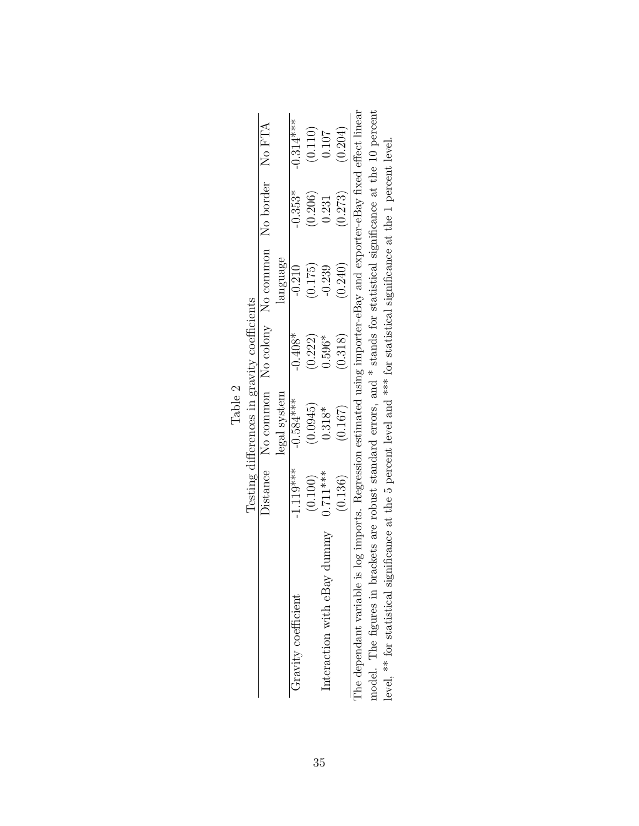|                           |            | T mnn                                                                                       |           |          |           |             |
|---------------------------|------------|---------------------------------------------------------------------------------------------|-----------|----------|-----------|-------------|
|                           |            | Testing differences in gravity coefficients                                                 |           |          |           |             |
|                           |            | bistance No common No colony No common No border No FTA                                     |           |          |           |             |
|                           |            | legal system                                                                                |           | language |           |             |
| Gravity coefficient       | $1.119***$ | $-0.584***$                                                                                 | $-0.408*$ | $-0.210$ | $-0.353*$ | $-0.314***$ |
|                           | (0.100)    | (0.0945)                                                                                    | (0.222)   | (0.175)  | (0.206)   | (0.110)     |
| Interaction with eBay     | $0.711***$ | $0.318*$                                                                                    | $0.596*$  | 0.239    | 0.231     | 0.107       |
|                           | (0.136)    | (0.167)                                                                                     | (0.318)   | (0.240)  | (0.273)   | (0.204)     |
| The dependant variable is |            | log imports. Regression estimated using importer-eBay and exporter-eBay fixed effect linear |           |          |           |             |
|                           |            |                                                                                             | .<br>.    |          |           |             |

|                                                       | $0.136^\circ$ | 0.167 | 0.318 | 0.240                                                                                                                                                                                             | $(5\Delta 0$<br>ر د ا ب | 0.204) |
|-------------------------------------------------------|---------------|-------|-------|---------------------------------------------------------------------------------------------------------------------------------------------------------------------------------------------------|-------------------------|--------|
| The dependant variable is<br>model. The figures in br |               |       |       | s log imports. Regression estimated using importer-eBay and exporter-eBay fixed effect linear<br>ackets are robust standard errors, and $*$ stands for statistical significance at the 10 percent |                         |        |
| level, $**$ for statistical sig-                      |               |       |       | experiment at the 5 percent level and *** for statistical significance at the 1 percent level.                                                                                                    |                         |        |

| $\mathrel{\sim}$ | $\frac{1}{2}$ |
|------------------|---------------|
| Φ<br>ء≓          | ۶<br>۳        |
| Ê                | C<br>C<br>C   |
|                  |               |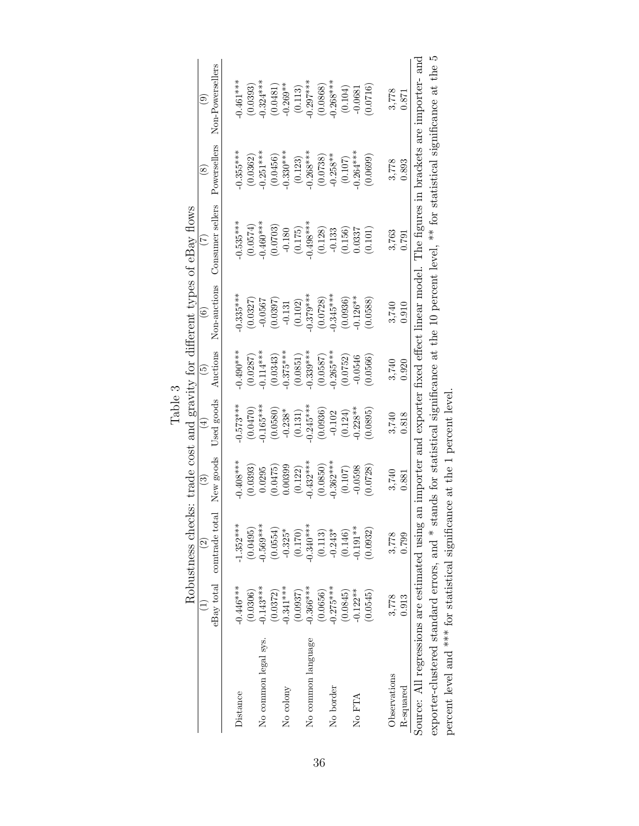|                                                                                                                                                 |             |                          |             | - Arant             |                           |                   | Robustness checks: trade cost and gravity for different types of eBay flows |                           |                                                                                               |
|-------------------------------------------------------------------------------------------------------------------------------------------------|-------------|--------------------------|-------------|---------------------|---------------------------|-------------------|-----------------------------------------------------------------------------|---------------------------|-----------------------------------------------------------------------------------------------|
|                                                                                                                                                 |             | $\widehat{\mathfrak{S}}$ | ව           | $\widehat{\exists}$ | $\widehat{5}$             | $\widehat{\circ}$ | E                                                                           | $\widetilde{\mathcal{S}}$ | ම                                                                                             |
|                                                                                                                                                 | eBay total  | comtrade total           | New goods   | Used goods          | Auctions                  | Non-auctions      | Consumer sellers                                                            | Powersellers              | Non-Powersellers                                                                              |
| Distance                                                                                                                                        | $-0.446***$ | $-1.352***$              | $-0.408***$ | $-0.573***$         | $-0.490$ ***              | $0.335***$        | $0.535***$                                                                  | $-0.355***$               | $0.461***$                                                                                    |
|                                                                                                                                                 | (0.0306)    | (0.0495)                 | (0.0393)    | (0.140)             | (0.0287)                  | (0.0327)          | (0.0574)                                                                    | (0.0362)                  | (0.0393)                                                                                      |
| No common legal sys.                                                                                                                            | $-0.143***$ | $-0.569***$              | 0.0295      | $-0.165***$         | $0.114***$                | $-0.0567$         | $0.460***$                                                                  | $-0.251***$               | $0.324***$                                                                                    |
|                                                                                                                                                 | (0.0372)    | (0.0554)                 | (0.0475)    | (0.0580)            | $(0.0343)$<br>-0.375***   | (0.0397)          | (0.0703)                                                                    | (0.0456)                  | (0.0481)                                                                                      |
| No colony                                                                                                                                       | $0.341***$  | $-0.325*$                | 0.00399     | $-0.238*$           |                           | $-0.131$          | $-0.180$                                                                    | $-0.330***$               | $-0.269**$                                                                                    |
|                                                                                                                                                 | (0.0937)    | (0.170)                  | (0.122)     | (0.131)             |                           | (0.102)           | (0.175)                                                                     | (0.123)                   |                                                                                               |
| No common language                                                                                                                              | $-0.366***$ | $-0.340***$              | $-0.432***$ | $-0.245***$         | $(0.0851)$<br>$-0.339***$ | $0.379***$        | $-0.498***$                                                                 | $-0.268***$               | $(0.113)$<br>$-0.297***$                                                                      |
|                                                                                                                                                 | (0.0656)    | (0.113)                  | (0.0850)    | (0.0936)            | (0.0587)                  | (0.0728)          | (0.128)                                                                     | (0.0738)                  | (0.0868)                                                                                      |
| No border                                                                                                                                       | $-0.275***$ | $-0.243*$                | $-0.362***$ | $-0.102$            | $0.265***$                | $0.345***$        | $-0.133$                                                                    | $-0.258**$                | $-0.268***$                                                                                   |
|                                                                                                                                                 | (0.0845)    | (0.146)                  | $(0.107)$   | (0.124)             | (0.0752)                  | (0.0936)          | (0.156)                                                                     | (0.107)                   | (0.104)                                                                                       |
| No FTA                                                                                                                                          | $-0.122**$  | $-0.191**$               | $-0.0598$   | $0.228**$           | $-0.0546$                 | $-0.126**$        | 0.0337                                                                      | $-0.264***$               | $-0.0681$                                                                                     |
|                                                                                                                                                 | (0.0545)    | (0.0932)                 | (0.0728)    | (0.0895)            | 0.0566)                   | (0.0588)          | (0.101)                                                                     | (0.0699)                  | 0.0716                                                                                        |
| Observations                                                                                                                                    | 3,778       | 3,778                    | 3,740       | 3,740               | 3,740                     | 3,740             | 3,763                                                                       | 3,778                     | 3,778                                                                                         |
| R-squared                                                                                                                                       | 0.913       | 0.799                    | 0.881       | 0.818               | 0.920                     | 0.910             | 0.791                                                                       | 0.893                     | 0.871                                                                                         |
| Source: All regressions are estimated using                                                                                                     |             |                          |             |                     |                           |                   |                                                                             |                           | an importer and exporter fixed effect linear model. The figures in brackets are importer- and |
| exporter-clustered standard errors, and * stands for statistical significance at the 10 percent level, ** for statistical significance at the 5 |             |                          |             |                     |                           |                   |                                                                             |                           |                                                                                               |
| percent level and *** for statistical significance at the 1 percent level                                                                       |             |                          |             |                     |                           |                   |                                                                             |                           |                                                                                               |
|                                                                                                                                                 |             |                          |             |                     |                           |                   |                                                                             |                           |                                                                                               |
|                                                                                                                                                 |             |                          |             |                     |                           |                   |                                                                             |                           |                                                                                               |

Table 3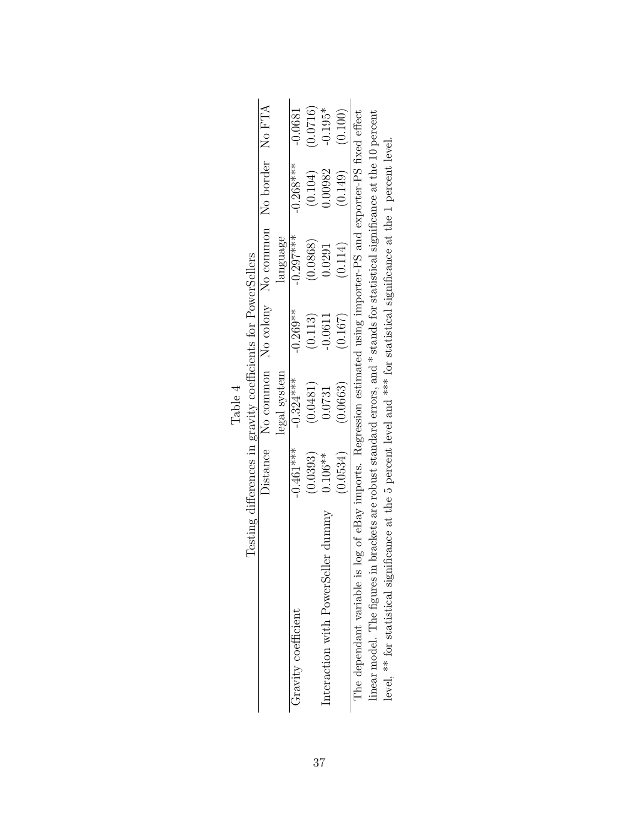|                                                                                                                    |             | Table 4                                                      |            |                                                                                                    |             |           |
|--------------------------------------------------------------------------------------------------------------------|-------------|--------------------------------------------------------------|------------|----------------------------------------------------------------------------------------------------|-------------|-----------|
|                                                                                                                    |             | Testing differences in gravity coefficients for PowerSellers |            |                                                                                                    |             |           |
|                                                                                                                    |             |                                                              |            | Distance No common No colony No common No border No FTA                                            |             |           |
|                                                                                                                    |             | legal system                                                 |            | language                                                                                           |             |           |
| Gravity coefficient                                                                                                | $-0.461***$ | $-0.324***$                                                  | $-0.269**$ | $-0.297***$                                                                                        | $-0.268***$ | $-0.0681$ |
|                                                                                                                    | (0.0393)    | (0.0481)                                                     | (0.113)    | (0.0868)                                                                                           | (0.104)     | (0.0716)  |
| Interaction with PowerSeller dummy                                                                                 | $0.106**$   | 0.0731                                                       | 0.0611     | 0.291                                                                                              | 1.00982     | $-0.195*$ |
|                                                                                                                    | (0.0534)    | (0.0663)                                                     | (0.167)    | (0.114)                                                                                            | (0.149)     | (0.100)   |
| The dependant variable is log of eBay imports. Regression estimated using importer-PS and exporter-PS fixed effect |             |                                                              |            |                                                                                                    |             |           |
| linear model. The figures in l                                                                                     |             |                                                              |            | brackets are robust standard errors, and $*$ stands for statistical significance at the 10 percent |             |           |
|                                                                                                                    |             |                                                              |            |                                                                                                    |             |           |

\*\* for statistical significance at the 1 percent level. level, \*\* for statistical significance at the 5 percent level and \*\*\* for statistical significance at the 1 percent level. for statistical significance at the 5 percent level and  $^*$  $level, \hat{}$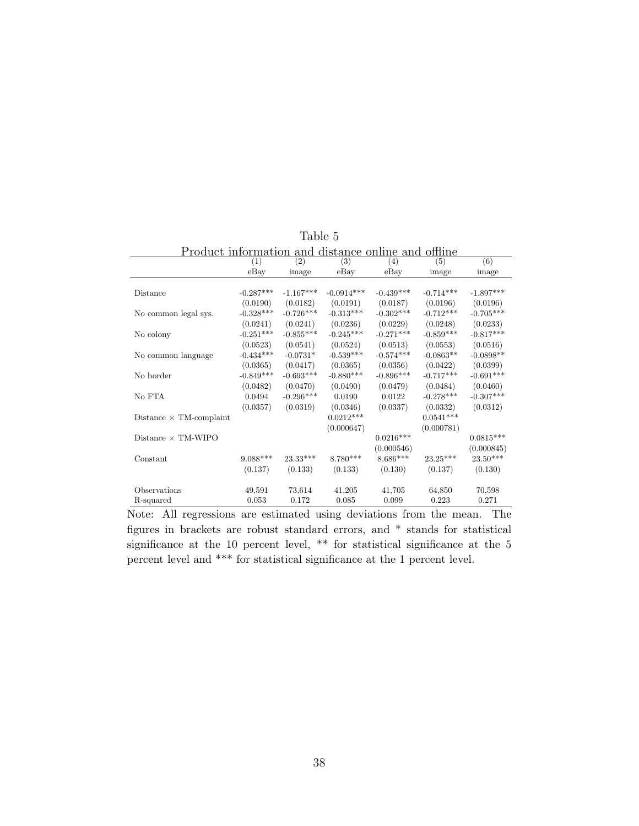| Product information and distance online and offline |             |             |              |                  |             |             |
|-----------------------------------------------------|-------------|-------------|--------------|------------------|-------------|-------------|
|                                                     | (1)         | (2)         | (3)          | (4)              | (5)         | (6)         |
|                                                     | eBay        | image       | $e$ Bay      | eBay             | image       | image       |
|                                                     |             |             |              |                  |             |             |
| Distance                                            | $-0.287***$ | $-1.167***$ | $-0.0914***$ | $-0.439***$      | $-0.714***$ | $-1.897***$ |
|                                                     | (0.0190)    | (0.0182)    | (0.0191)     | (0.0187)         | (0.0196)    | (0.0196)    |
| No common legal sys.                                | $-0.328***$ | $-0.726***$ | $-0.313***$  | $-0.302***$      | $-0.712***$ | $-0.705***$ |
|                                                     | (0.0241)    | (0.0241)    | (0.0236)     | (0.0229)         | (0.0248)    | (0.0233)    |
| No colony                                           | $-0.251***$ | $-0.855***$ | $-0.245***$  | $-0.271***$      | $-0.859***$ | $-0.817***$ |
|                                                     | (0.0523)    | (0.0541)    | (0.0524)     | (0.0513)         | (0.0553)    | (0.0516)    |
| No common language                                  | $-0.434***$ | $-0.0731*$  | $-0.539***$  | $-0.574***$      | $-0.0863**$ | $-0.0898**$ |
|                                                     | (0.0365)    | (0.0417)    | (0.0365)     | (0.0356)         | (0.0422)    | (0.0399)    |
| No border                                           | $-0.849***$ | $-0.693***$ | $-0.880***$  | $-0.896***$      | $-0.717***$ | $-0.691***$ |
|                                                     | (0.0482)    | (0.0470)    | (0.0490)     | (0.0479)         | (0.0484)    | (0.0460)    |
| No FTA                                              | 0.0494      | $-0.296***$ | 0.0190       | 0.0122           | $-0.278***$ | $-0.307***$ |
|                                                     | (0.0357)    | (0.0319)    | (0.0346)     | (0.0337)         | (0.0332)    | (0.0312)    |
| Distance $\times$ TM-complaint                      |             |             | $0.0212***$  |                  | $0.0541***$ |             |
|                                                     |             |             | (0.000647)   |                  | (0.000781)  |             |
| Distance $\times$ TM-WIPO                           |             |             |              | $0.0216^{***}\,$ |             | $0.0815***$ |
|                                                     |             |             |              | (0.000546)       |             | (0.000845)  |
| Constant                                            | $9.088***$  | 23.33***    | $8.780***$   | $8.686***$       | $23.25***$  | $23.50***$  |
|                                                     | (0.137)     | (0.133)     | (0.133)      | (0.130)          | (0.137)     | (0.130)     |
|                                                     |             |             |              |                  |             |             |
| Observations                                        | 49,591      | 73,614      | 41,205       | 41,705           | 64,850      | 70,598      |
| R-squared                                           | 0.053       | 0.172       | 0.085        | 0.099            | 0.223       | 0.271       |

Table 5

Note: All regressions are estimated using deviations from the mean. The figures in brackets are robust standard errors, and \* stands for statistical significance at the 10 percent level, \*\* for statistical significance at the 5 percent level and \*\*\* for statistical significance at the 1 percent level.